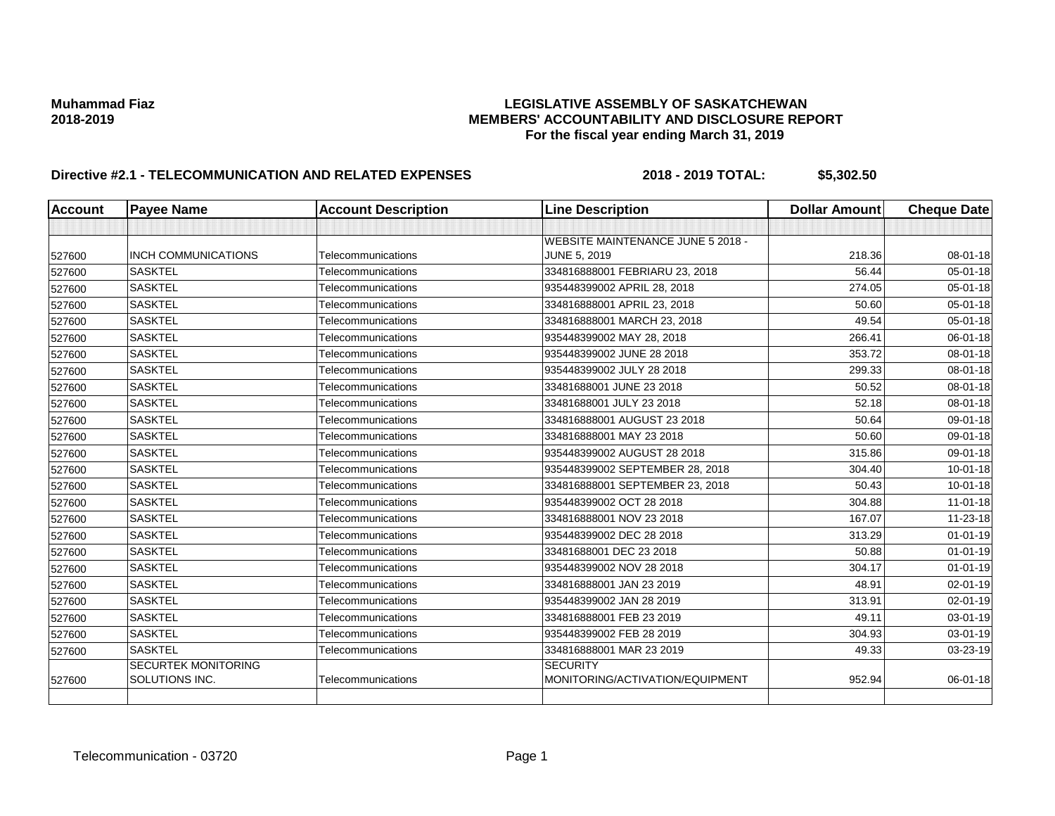| <b>Account</b> | <b>Payee Name</b>          | <b>Account Description</b> | <b>Line Description</b>           | <b>Dollar Amount</b> | <b>Cheque Date</b> |
|----------------|----------------------------|----------------------------|-----------------------------------|----------------------|--------------------|
|                |                            |                            |                                   |                      |                    |
|                |                            |                            | WEBSITE MAINTENANCE JUNE 5 2018 - |                      |                    |
| 527600         | <b>INCH COMMUNICATIONS</b> | Telecommunications         | <b>JUNE 5, 2019</b>               | 218.36               | 08-01-18           |
| 527600         | <b>SASKTEL</b>             | Telecommunications         | 334816888001 FEBRIARU 23, 2018    | 56.44                | 05-01-18           |
| 527600         | <b>SASKTEL</b>             | Telecommunications         | 935448399002 APRIL 28, 2018       | 274.05               | 05-01-18           |
| 527600         | <b>SASKTEL</b>             | Telecommunications         | 334816888001 APRIL 23, 2018       | 50.60                | 05-01-18           |
| 527600         | <b>SASKTEL</b>             | Telecommunications         | 334816888001 MARCH 23, 2018       | 49.54                | 05-01-18           |
| 527600         | <b>SASKTEL</b>             | Telecommunications         | 935448399002 MAY 28, 2018         | 266.41               | 06-01-18           |
| 527600         | <b>SASKTEL</b>             | Telecommunications         | 935448399002 JUNE 28 2018         | 353.72               | 08-01-18           |
| 527600         | <b>SASKTEL</b>             | Telecommunications         | 935448399002 JULY 28 2018         | 299.33               | 08-01-18           |
| 527600         | <b>SASKTEL</b>             | Telecommunications         | 33481688001 JUNE 23 2018          | 50.52                | 08-01-18           |
| 527600         | <b>SASKTEL</b>             | Telecommunications         | 33481688001 JULY 23 2018          | 52.18                | 08-01-18           |
| 527600         | <b>SASKTEL</b>             | Telecommunications         | 334816888001 AUGUST 23 2018       | 50.64                | 09-01-18           |
| 527600         | <b>SASKTEL</b>             | Telecommunications         | 334816888001 MAY 23 2018          | 50.60                | 09-01-18           |
| 527600         | <b>SASKTEL</b>             | Telecommunications         | 935448399002 AUGUST 28 2018       | 315.86               | 09-01-18           |
| 527600         | <b>SASKTEL</b>             | Telecommunications         | 935448399002 SEPTEMBER 28, 2018   | 304.40               | 10-01-18           |
| 527600         | <b>SASKTEL</b>             | Telecommunications         | 334816888001 SEPTEMBER 23, 2018   | 50.43                | $10 - 01 - 18$     |
| 527600         | <b>SASKTEL</b>             | Telecommunications         | 935448399002 OCT 28 2018          | 304.88               | $11 - 01 - 18$     |
| 527600         | <b>SASKTEL</b>             | Telecommunications         | 334816888001 NOV 23 2018          | 167.07               | 11-23-18           |
| 527600         | <b>SASKTEL</b>             | Telecommunications         | 935448399002 DEC 28 2018          | 313.29               | $01 - 01 - 19$     |
| 527600         | <b>SASKTEL</b>             | Telecommunications         | 33481688001 DEC 23 2018           | 50.88                | $01 - 01 - 19$     |
| 527600         | <b>SASKTEL</b>             | Telecommunications         | 935448399002 NOV 28 2018          | 304.17               | $01 - 01 - 19$     |
| 527600         | <b>SASKTEL</b>             | Telecommunications         | 334816888001 JAN 23 2019          | 48.91                | 02-01-19           |
| 527600         | <b>SASKTEL</b>             | Telecommunications         | 935448399002 JAN 28 2019          | 313.91               | 02-01-19           |
| 527600         | <b>SASKTEL</b>             | Telecommunications         | 334816888001 FEB 23 2019          | 49.11                | 03-01-19           |
| 527600         | <b>SASKTEL</b>             | Telecommunications         | 935448399002 FEB 28 2019          | 304.93               | 03-01-19           |
| 527600         | <b>SASKTEL</b>             | Telecommunications         | 334816888001 MAR 23 2019          | 49.33                | 03-23-19           |
|                | <b>SECURTEK MONITORING</b> |                            | <b>SECURITY</b>                   |                      |                    |
| 527600         | SOLUTIONS INC.             | Telecommunications         | MONITORING/ACTIVATION/EQUIPMENT   | 952.94               | $06 - 01 - 18$     |
|                |                            |                            |                                   |                      |                    |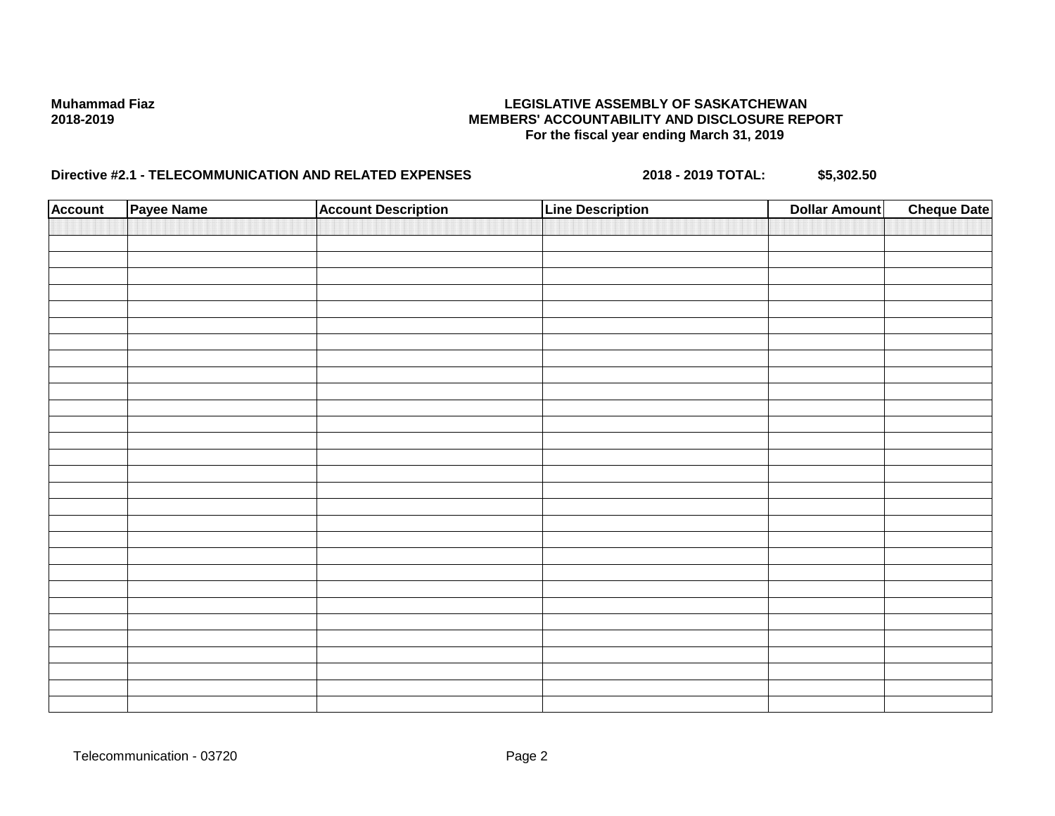| <b>Account</b> | Payee Name | <b>Account Description</b> | <b>Line Description</b> | <b>Dollar Amount</b> | <b>Cheque Date</b> |
|----------------|------------|----------------------------|-------------------------|----------------------|--------------------|
|                |            |                            |                         |                      |                    |
|                |            |                            |                         |                      |                    |
|                |            |                            |                         |                      |                    |
|                |            |                            |                         |                      |                    |
|                |            |                            |                         |                      |                    |
|                |            |                            |                         |                      |                    |
|                |            |                            |                         |                      |                    |
|                |            |                            |                         |                      |                    |
|                |            |                            |                         |                      |                    |
|                |            |                            |                         |                      |                    |
|                |            |                            |                         |                      |                    |
|                |            |                            |                         |                      |                    |
|                |            |                            |                         |                      |                    |
|                |            |                            |                         |                      |                    |
|                |            |                            |                         |                      |                    |
|                |            |                            |                         |                      |                    |
|                |            |                            |                         |                      |                    |
|                |            |                            |                         |                      |                    |
|                |            |                            |                         |                      |                    |
|                |            |                            |                         |                      |                    |
|                |            |                            |                         |                      |                    |
|                |            |                            |                         |                      |                    |
|                |            |                            |                         |                      |                    |
|                |            |                            |                         |                      |                    |
|                |            |                            |                         |                      |                    |
|                |            |                            |                         |                      |                    |
|                |            |                            |                         |                      |                    |
|                |            |                            |                         |                      |                    |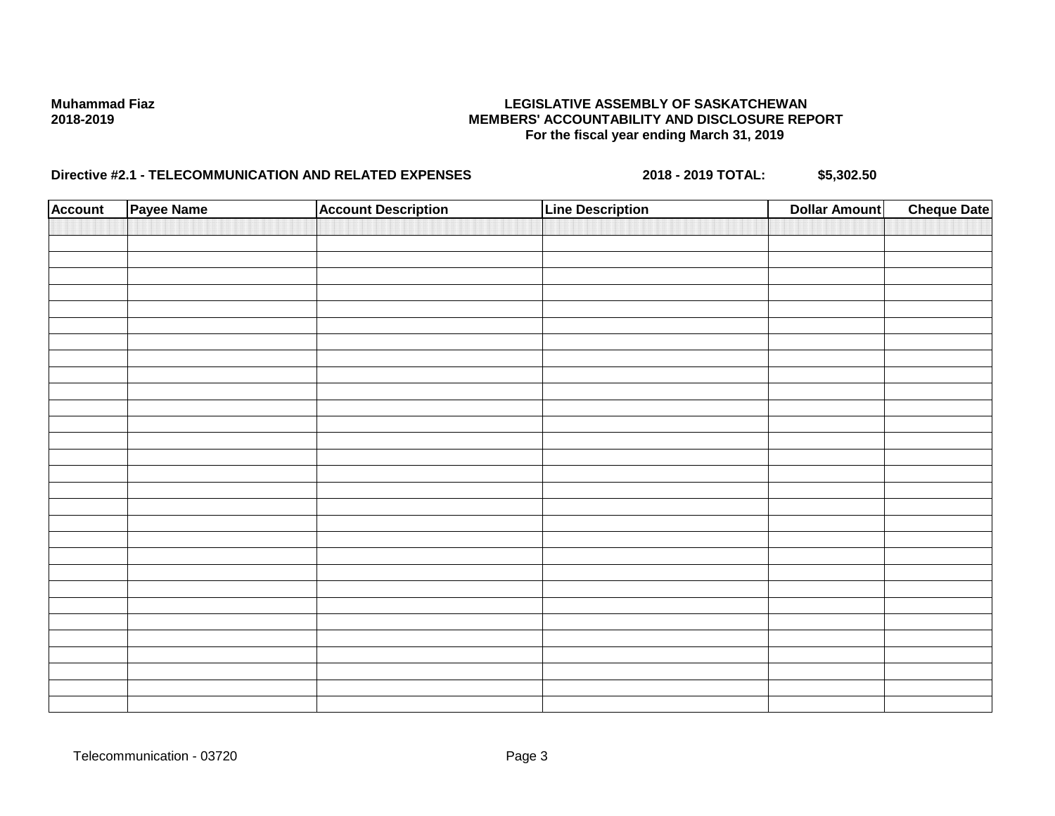| <b>Account</b> | Payee Name | <b>Account Description</b> | <b>Line Description</b> | <b>Dollar Amount</b> | <b>Cheque Date</b> |
|----------------|------------|----------------------------|-------------------------|----------------------|--------------------|
|                |            |                            |                         |                      |                    |
|                |            |                            |                         |                      |                    |
|                |            |                            |                         |                      |                    |
|                |            |                            |                         |                      |                    |
|                |            |                            |                         |                      |                    |
|                |            |                            |                         |                      |                    |
|                |            |                            |                         |                      |                    |
|                |            |                            |                         |                      |                    |
|                |            |                            |                         |                      |                    |
|                |            |                            |                         |                      |                    |
|                |            |                            |                         |                      |                    |
|                |            |                            |                         |                      |                    |
|                |            |                            |                         |                      |                    |
|                |            |                            |                         |                      |                    |
|                |            |                            |                         |                      |                    |
|                |            |                            |                         |                      |                    |
|                |            |                            |                         |                      |                    |
|                |            |                            |                         |                      |                    |
|                |            |                            |                         |                      |                    |
|                |            |                            |                         |                      |                    |
|                |            |                            |                         |                      |                    |
|                |            |                            |                         |                      |                    |
|                |            |                            |                         |                      |                    |
|                |            |                            |                         |                      |                    |
|                |            |                            |                         |                      |                    |
|                |            |                            |                         |                      |                    |
|                |            |                            |                         |                      |                    |
|                |            |                            |                         |                      |                    |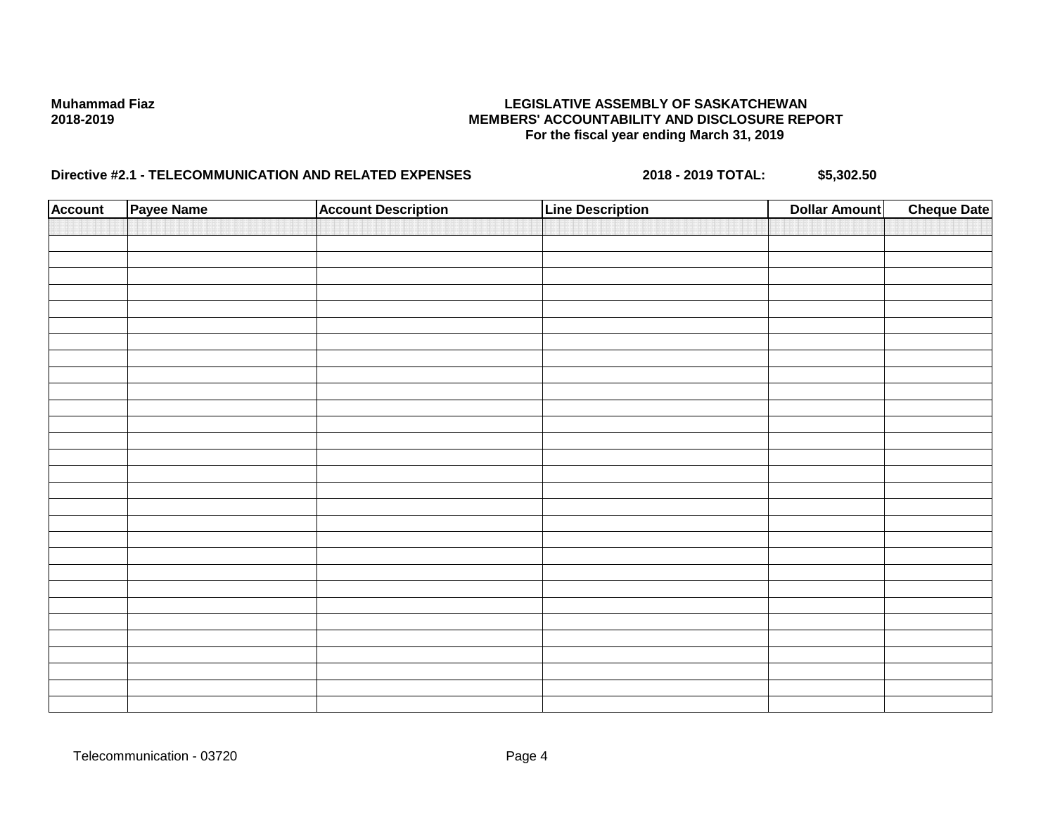| <b>Account</b> | Payee Name | <b>Account Description</b> | <b>Line Description</b> | <b>Dollar Amount</b> | <b>Cheque Date</b> |
|----------------|------------|----------------------------|-------------------------|----------------------|--------------------|
|                |            |                            |                         |                      |                    |
|                |            |                            |                         |                      |                    |
|                |            |                            |                         |                      |                    |
|                |            |                            |                         |                      |                    |
|                |            |                            |                         |                      |                    |
|                |            |                            |                         |                      |                    |
|                |            |                            |                         |                      |                    |
|                |            |                            |                         |                      |                    |
|                |            |                            |                         |                      |                    |
|                |            |                            |                         |                      |                    |
|                |            |                            |                         |                      |                    |
|                |            |                            |                         |                      |                    |
|                |            |                            |                         |                      |                    |
|                |            |                            |                         |                      |                    |
|                |            |                            |                         |                      |                    |
|                |            |                            |                         |                      |                    |
|                |            |                            |                         |                      |                    |
|                |            |                            |                         |                      |                    |
|                |            |                            |                         |                      |                    |
|                |            |                            |                         |                      |                    |
|                |            |                            |                         |                      |                    |
|                |            |                            |                         |                      |                    |
|                |            |                            |                         |                      |                    |
|                |            |                            |                         |                      |                    |
|                |            |                            |                         |                      |                    |
|                |            |                            |                         |                      |                    |
|                |            |                            |                         |                      |                    |
|                |            |                            |                         |                      |                    |
|                |            |                            |                         |                      |                    |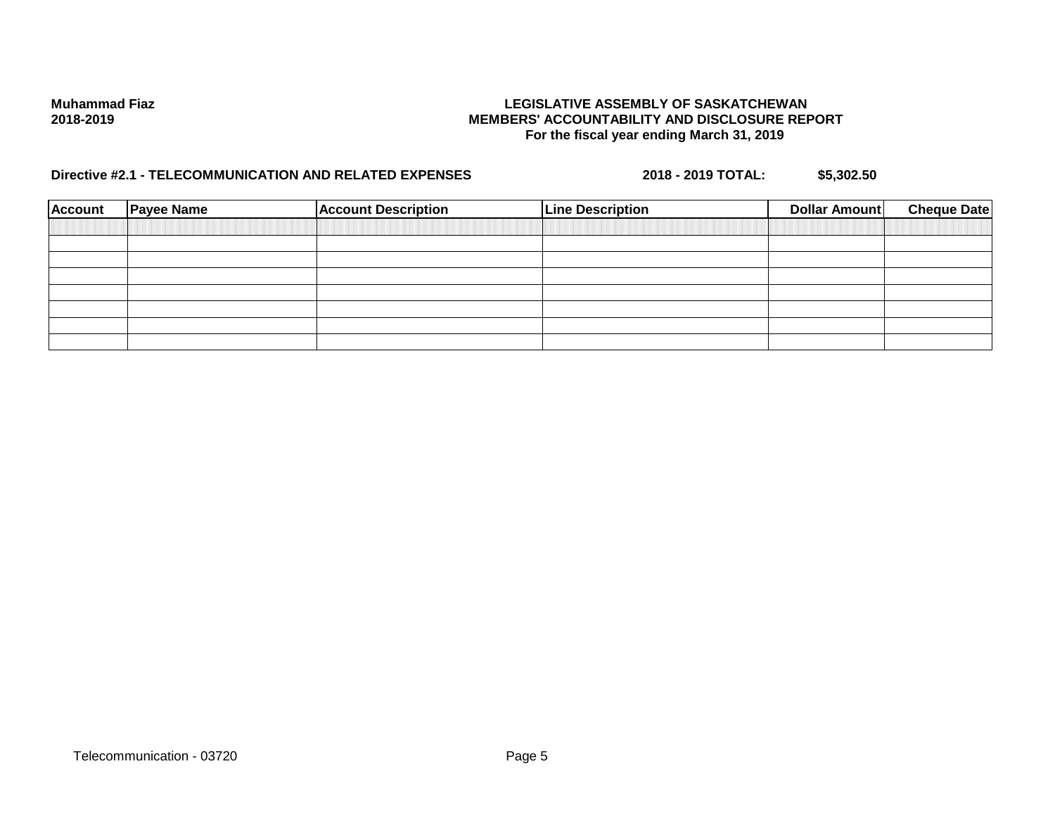| Account | <b>Payee Name</b> | <b>Account Description</b> | <b>Line Description</b> | Dollar Amount | <b>Cheque Date</b> |
|---------|-------------------|----------------------------|-------------------------|---------------|--------------------|
|         |                   |                            |                         |               |                    |
|         |                   |                            |                         |               |                    |
|         |                   |                            |                         |               |                    |
|         |                   |                            |                         |               |                    |
|         |                   |                            |                         |               |                    |
|         |                   |                            |                         |               |                    |
|         |                   |                            |                         |               |                    |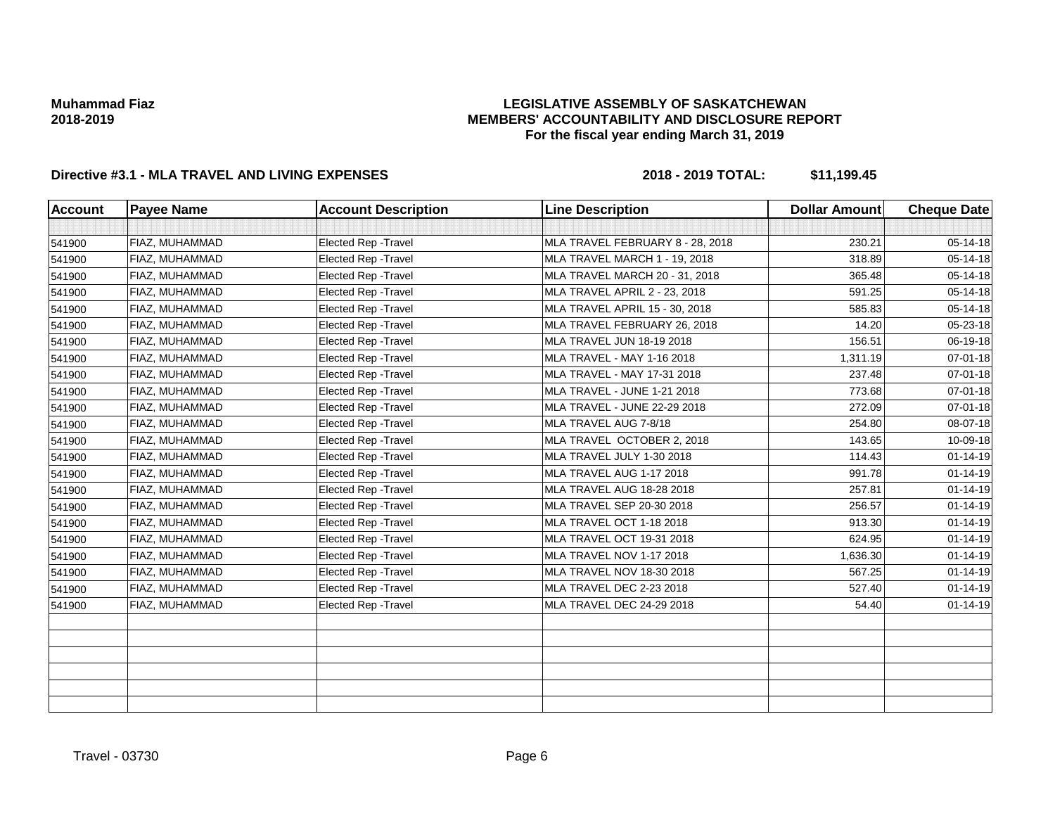### **LEGISLATIVE ASSEMBLY OF SASKATCHEWAN MEMBERS' ACCOUNTABILITY AND DISCLOSURE REPORT For the fiscal year ending March 31, 2019**

| <b>Account</b> | <b>Payee Name</b>     | <b>Account Description</b>  | <b>Line Description</b>          | <b>Dollar Amount</b> | <b>Cheque Date</b> |
|----------------|-----------------------|-----------------------------|----------------------------------|----------------------|--------------------|
|                |                       |                             |                                  |                      |                    |
| 541900         | <b>FIAZ, MUHAMMAD</b> | <b>Elected Rep - Travel</b> | MLA TRAVEL FEBRUARY 8 - 28, 2018 | 230.21               | 05-14-18           |
| 541900         | FIAZ, MUHAMMAD        | <b>Elected Rep - Travel</b> | MLA TRAVEL MARCH 1 - 19, 2018    | 318.89               | 05-14-18           |
| 541900         | FIAZ, MUHAMMAD        | <b>Elected Rep - Travel</b> | MLA TRAVEL MARCH 20 - 31, 2018   | 365.48               | 05-14-18           |
| 541900         | FIAZ, MUHAMMAD        | Elected Rep - Travel        | MLA TRAVEL APRIL 2 - 23, 2018    | 591.25               | 05-14-18           |
| 541900         | <b>FIAZ, MUHAMMAD</b> | Elected Rep - Travel        | MLA TRAVEL APRIL 15 - 30, 2018   | 585.83               | 05-14-18           |
| 541900         | FIAZ. MUHAMMAD        | <b>Elected Rep - Travel</b> | MLA TRAVEL FEBRUARY 26, 2018     | 14.20                | 05-23-18           |
| 541900         | FIAZ, MUHAMMAD        | Elected Rep - Travel        | MLA TRAVEL JUN 18-19 2018        | 156.51               | 06-19-18           |
| 541900         | FIAZ, MUHAMMAD        | <b>Elected Rep - Travel</b> | MLA TRAVEL - MAY 1-16 2018       | 1,311.19             | 07-01-18           |
| 541900         | FIAZ, MUHAMMAD        | Elected Rep - Travel        | MLA TRAVEL - MAY 17-31 2018      | 237.48               | 07-01-18           |
| 541900         | FIAZ, MUHAMMAD        | Elected Rep - Travel        | MLA TRAVEL - JUNE 1-21 2018      | 773.68               | 07-01-18           |
| 541900         | <b>FIAZ, MUHAMMAD</b> | Elected Rep - Travel        | MLA TRAVEL - JUNE 22-29 2018     | 272.09               | 07-01-18           |
| 541900         | FIAZ, MUHAMMAD        | Elected Rep - Travel        | MLA TRAVEL AUG 7-8/18            | 254.80               | 08-07-18           |
| 541900         | FIAZ, MUHAMMAD        | Elected Rep - Travel        | MLA TRAVEL OCTOBER 2, 2018       | 143.65               | 10-09-18           |
| 541900         | FIAZ, MUHAMMAD        | Elected Rep - Travel        | MLA TRAVEL JULY 1-30 2018        | 114.43               | $01 - 14 - 19$     |
| 541900         | FIAZ, MUHAMMAD        | Elected Rep - Travel        | MLA TRAVEL AUG 1-17 2018         | 991.78               | $01 - 14 - 19$     |
| 541900         | <b>FIAZ, MUHAMMAD</b> | Elected Rep - Travel        | MLA TRAVEL AUG 18-28 2018        | 257.81               | $01 - 14 - 19$     |
| 541900         | FIAZ, MUHAMMAD        | Elected Rep - Travel        | MLA TRAVEL SEP 20-30 2018        | 256.57               | $01 - 14 - 19$     |
| 541900         | FIAZ, MUHAMMAD        | Elected Rep - Travel        | MLA TRAVEL OCT 1-18 2018         | 913.30               | $01 - 14 - 19$     |
| 541900         | FIAZ, MUHAMMAD        | Elected Rep - Travel        | MLA TRAVEL OCT 19-31 2018        | 624.95               | $01 - 14 - 19$     |
| 541900         | FIAZ, MUHAMMAD        | <b>Elected Rep - Travel</b> | MLA TRAVEL NOV 1-17 2018         | 1,636.30             | $01 - 14 - 19$     |
| 541900         | <b>FIAZ, MUHAMMAD</b> | Elected Rep - Travel        | MLA TRAVEL NOV 18-30 2018        | 567.25               | $01 - 14 - 19$     |
| 541900         | FIAZ, MUHAMMAD        | Elected Rep - Travel        | MLA TRAVEL DEC 2-23 2018         | 527.40               | $01 - 14 - 19$     |
| 541900         | FIAZ, MUHAMMAD        | Elected Rep - Travel        | MLA TRAVEL DEC 24-29 2018        | 54.40                | $01 - 14 - 19$     |
|                |                       |                             |                                  |                      |                    |
|                |                       |                             |                                  |                      |                    |
|                |                       |                             |                                  |                      |                    |
|                |                       |                             |                                  |                      |                    |
|                |                       |                             |                                  |                      |                    |
|                |                       |                             |                                  |                      |                    |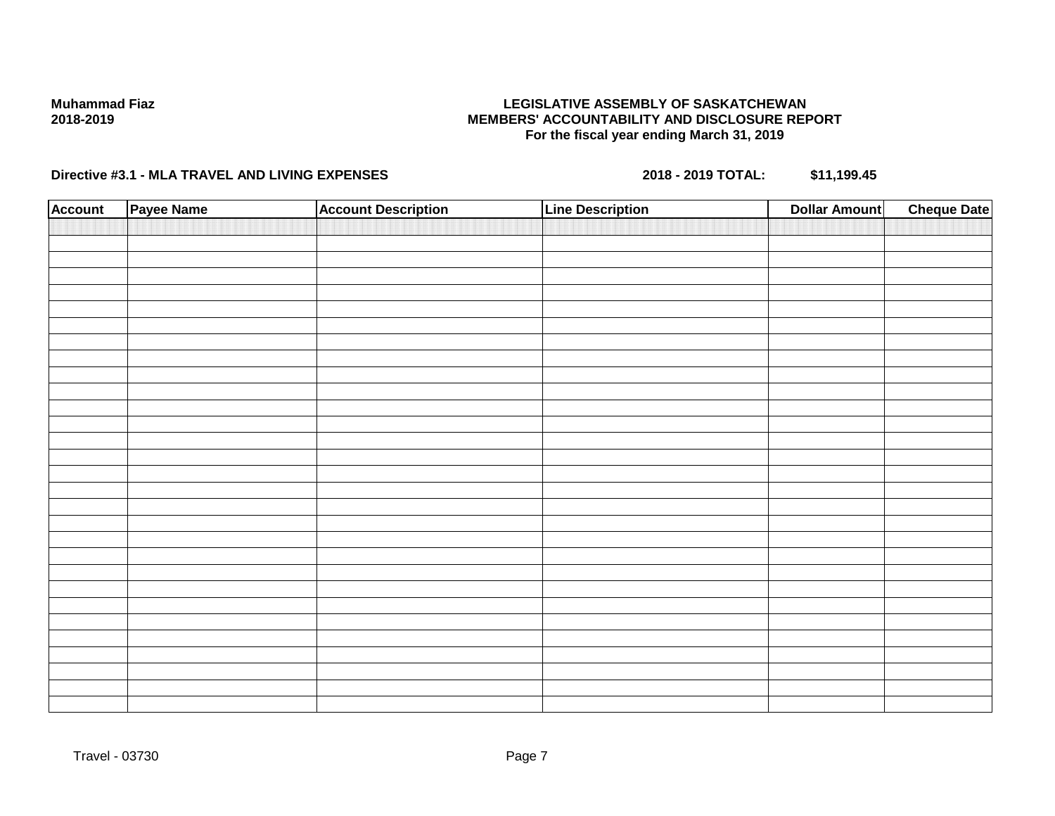### **LEGISLATIVE ASSEMBLY OF SASKATCHEWAN MEMBERS' ACCOUNTABILITY AND DISCLOSURE REPORT For the fiscal year ending March 31, 2019**

| <b>Account</b> | Payee Name | <b>Account Description</b> | <b>Line Description</b> | <b>Dollar Amount</b> | <b>Cheque Date</b> |
|----------------|------------|----------------------------|-------------------------|----------------------|--------------------|
|                |            |                            |                         |                      |                    |
|                |            |                            |                         |                      |                    |
|                |            |                            |                         |                      |                    |
|                |            |                            |                         |                      |                    |
|                |            |                            |                         |                      |                    |
|                |            |                            |                         |                      |                    |
|                |            |                            |                         |                      |                    |
|                |            |                            |                         |                      |                    |
|                |            |                            |                         |                      |                    |
|                |            |                            |                         |                      |                    |
|                |            |                            |                         |                      |                    |
|                |            |                            |                         |                      |                    |
|                |            |                            |                         |                      |                    |
|                |            |                            |                         |                      |                    |
|                |            |                            |                         |                      |                    |
|                |            |                            |                         |                      |                    |
|                |            |                            |                         |                      |                    |
|                |            |                            |                         |                      |                    |
|                |            |                            |                         |                      |                    |
|                |            |                            |                         |                      |                    |
|                |            |                            |                         |                      |                    |
|                |            |                            |                         |                      |                    |
|                |            |                            |                         |                      |                    |
|                |            |                            |                         |                      |                    |
|                |            |                            |                         |                      |                    |
|                |            |                            |                         |                      |                    |
|                |            |                            |                         |                      |                    |
|                |            |                            |                         |                      |                    |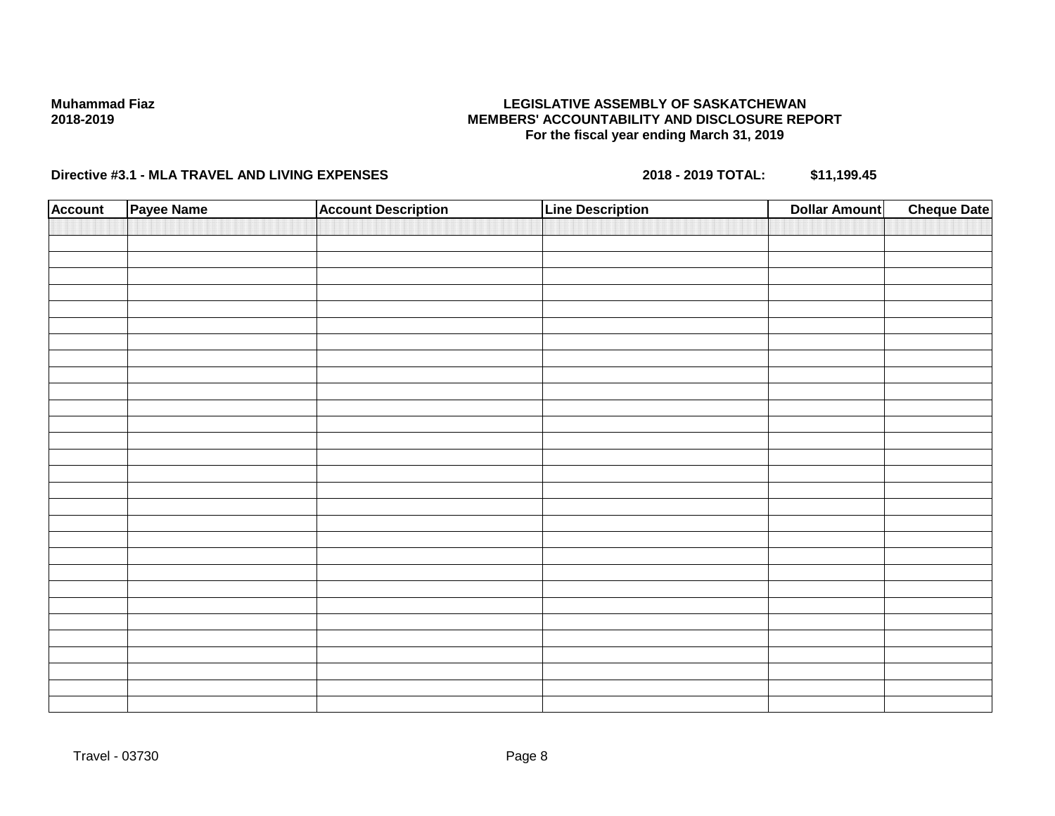### **LEGISLATIVE ASSEMBLY OF SASKATCHEWAN MEMBERS' ACCOUNTABILITY AND DISCLOSURE REPORT For the fiscal year ending March 31, 2019**

| <b>Account</b> | Payee Name | <b>Account Description</b> | <b>Line Description</b> | <b>Dollar Amount</b> | <b>Cheque Date</b> |
|----------------|------------|----------------------------|-------------------------|----------------------|--------------------|
|                |            |                            |                         |                      |                    |
|                |            |                            |                         |                      |                    |
|                |            |                            |                         |                      |                    |
|                |            |                            |                         |                      |                    |
|                |            |                            |                         |                      |                    |
|                |            |                            |                         |                      |                    |
|                |            |                            |                         |                      |                    |
|                |            |                            |                         |                      |                    |
|                |            |                            |                         |                      |                    |
|                |            |                            |                         |                      |                    |
|                |            |                            |                         |                      |                    |
|                |            |                            |                         |                      |                    |
|                |            |                            |                         |                      |                    |
|                |            |                            |                         |                      |                    |
|                |            |                            |                         |                      |                    |
|                |            |                            |                         |                      |                    |
|                |            |                            |                         |                      |                    |
|                |            |                            |                         |                      |                    |
|                |            |                            |                         |                      |                    |
|                |            |                            |                         |                      |                    |
|                |            |                            |                         |                      |                    |
|                |            |                            |                         |                      |                    |
|                |            |                            |                         |                      |                    |
|                |            |                            |                         |                      |                    |
|                |            |                            |                         |                      |                    |
|                |            |                            |                         |                      |                    |
|                |            |                            |                         |                      |                    |
|                |            |                            |                         |                      |                    |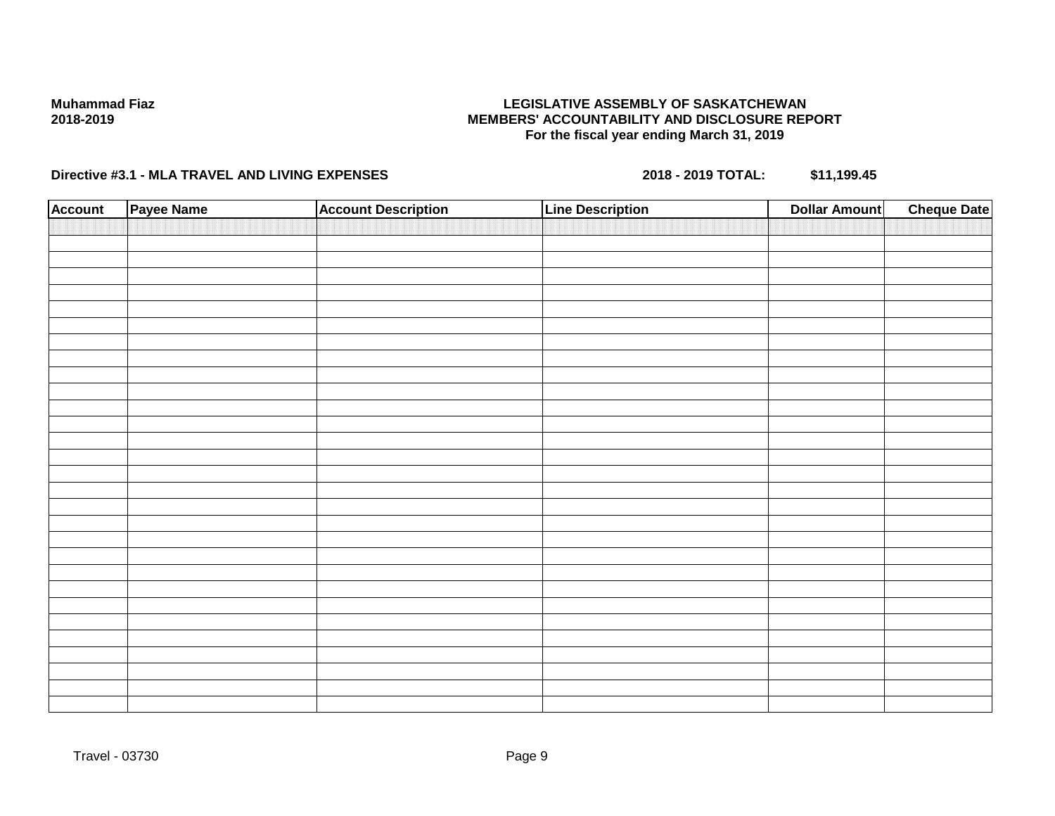### **LEGISLATIVE ASSEMBLY OF SASKATCHEWAN MEMBERS' ACCOUNTABILITY AND DISCLOSURE REPORT For the fiscal year ending March 31, 2019**

| <b>Account</b> | Payee Name | <b>Account Description</b> | <b>Line Description</b> | <b>Dollar Amount</b> | <b>Cheque Date</b> |
|----------------|------------|----------------------------|-------------------------|----------------------|--------------------|
|                |            |                            |                         |                      |                    |
|                |            |                            |                         |                      |                    |
|                |            |                            |                         |                      |                    |
|                |            |                            |                         |                      |                    |
|                |            |                            |                         |                      |                    |
|                |            |                            |                         |                      |                    |
|                |            |                            |                         |                      |                    |
|                |            |                            |                         |                      |                    |
|                |            |                            |                         |                      |                    |
|                |            |                            |                         |                      |                    |
|                |            |                            |                         |                      |                    |
|                |            |                            |                         |                      |                    |
|                |            |                            |                         |                      |                    |
|                |            |                            |                         |                      |                    |
|                |            |                            |                         |                      |                    |
|                |            |                            |                         |                      |                    |
|                |            |                            |                         |                      |                    |
|                |            |                            |                         |                      |                    |
|                |            |                            |                         |                      |                    |
|                |            |                            |                         |                      |                    |
|                |            |                            |                         |                      |                    |
|                |            |                            |                         |                      |                    |
|                |            |                            |                         |                      |                    |
|                |            |                            |                         |                      |                    |
|                |            |                            |                         |                      |                    |
|                |            |                            |                         |                      |                    |
|                |            |                            |                         |                      |                    |
|                |            |                            |                         |                      |                    |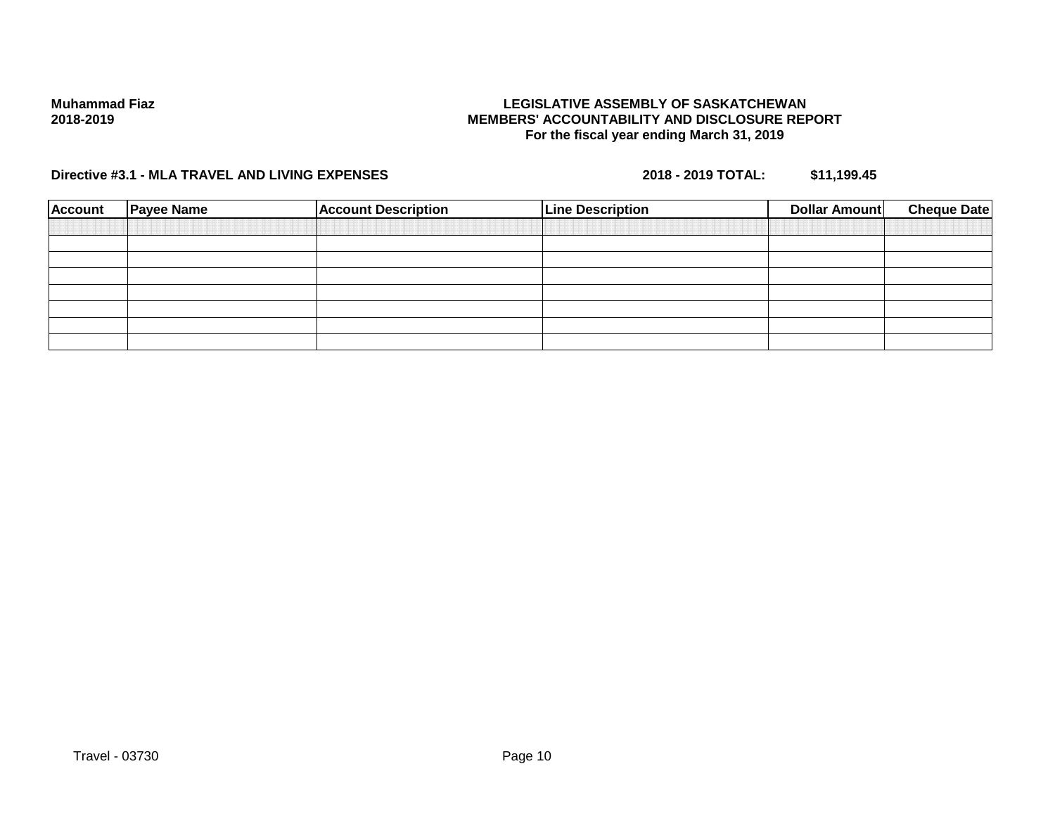### **LEGISLATIVE ASSEMBLY OF SASKATCHEWAN MEMBERS' ACCOUNTABILITY AND DISCLOSURE REPORT For the fiscal year ending March 31, 2019**

| <b>Account</b> | <b>Payee Name</b> | <b>Account Description</b> | <b>Line Description</b> | Dollar Amount | <b>Cheque Date</b> |
|----------------|-------------------|----------------------------|-------------------------|---------------|--------------------|
|                |                   |                            |                         |               |                    |
|                |                   |                            |                         |               |                    |
|                |                   |                            |                         |               |                    |
|                |                   |                            |                         |               |                    |
|                |                   |                            |                         |               |                    |
|                |                   |                            |                         |               |                    |
|                |                   |                            |                         |               |                    |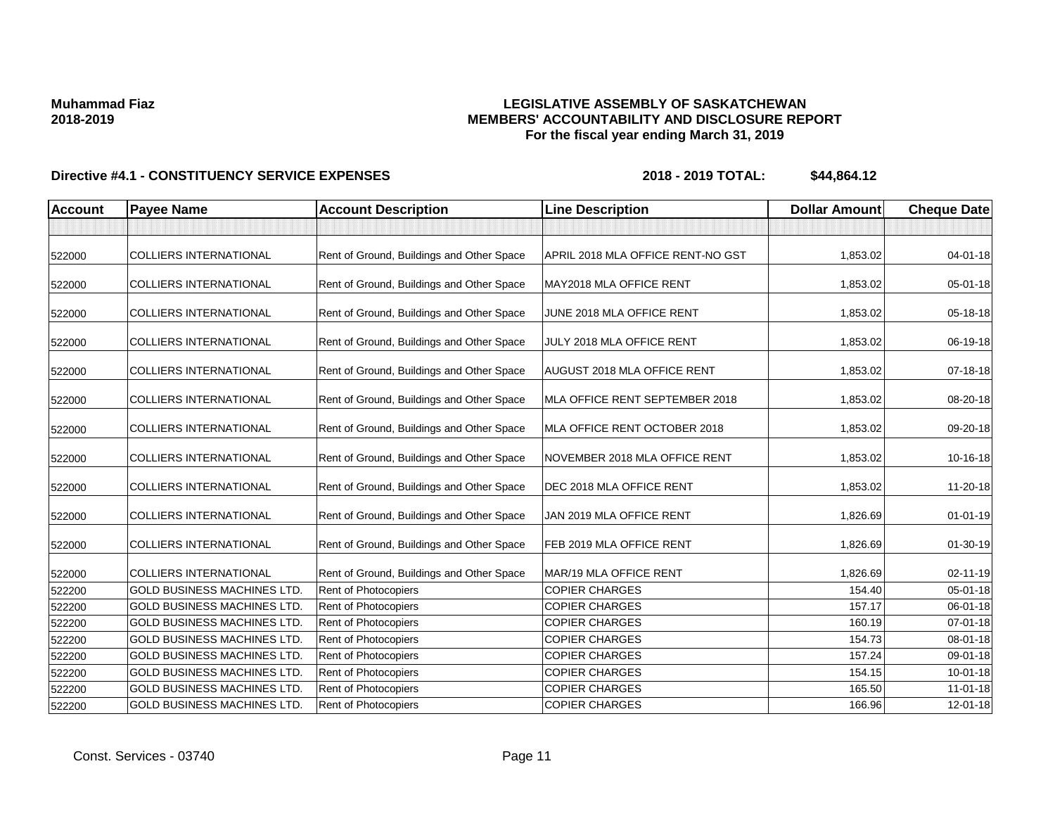### **LEGISLATIVE ASSEMBLY OF SASKATCHEWAN MEMBERS' ACCOUNTABILITY AND DISCLOSURE REPORT For the fiscal year ending March 31, 2019**

| <b>Account</b> | <b>Payee Name</b>                  | <b>Account Description</b>                | <b>Line Description</b>            | <b>Dollar Amount</b> | <b>Cheque Date</b> |
|----------------|------------------------------------|-------------------------------------------|------------------------------------|----------------------|--------------------|
|                |                                    |                                           |                                    |                      |                    |
| 522000         | <b>COLLIERS INTERNATIONAL</b>      | Rent of Ground, Buildings and Other Space | APRIL 2018 MLA OFFICE RENT-NO GST  | 1,853.02             | 04-01-18           |
| 522000         | <b>COLLIERS INTERNATIONAL</b>      | Rent of Ground, Buildings and Other Space | MAY2018 MLA OFFICE RENT            | 1,853.02             | 05-01-18           |
| 522000         | <b>COLLIERS INTERNATIONAL</b>      | Rent of Ground, Buildings and Other Space | JUNE 2018 MLA OFFICE RENT          | 1,853.02             | $05 - 18 - 18$     |
| 522000         | <b>COLLIERS INTERNATIONAL</b>      | Rent of Ground, Buildings and Other Space | JULY 2018 MLA OFFICE RENT          | 1,853.02             | 06-19-18           |
| 522000         | <b>COLLIERS INTERNATIONAL</b>      | Rent of Ground, Buildings and Other Space | <b>AUGUST 2018 MLA OFFICE RENT</b> | 1,853.02             | 07-18-18           |
| 522000         | <b>COLLIERS INTERNATIONAL</b>      | Rent of Ground, Buildings and Other Space | MLA OFFICE RENT SEPTEMBER 2018     | 1,853.02             | 08-20-18           |
| 522000         | <b>COLLIERS INTERNATIONAL</b>      | Rent of Ground, Buildings and Other Space | MLA OFFICE RENT OCTOBER 2018       | 1,853.02             | 09-20-18           |
| 522000         | <b>COLLIERS INTERNATIONAL</b>      | Rent of Ground, Buildings and Other Space | NOVEMBER 2018 MLA OFFICE RENT      | 1,853.02             | 10-16-18           |
| 522000         | <b>COLLIERS INTERNATIONAL</b>      | Rent of Ground, Buildings and Other Space | DEC 2018 MLA OFFICE RENT           | 1,853.02             | 11-20-18           |
| 522000         | <b>COLLIERS INTERNATIONAL</b>      | Rent of Ground, Buildings and Other Space | JAN 2019 MLA OFFICE RENT           | 1,826.69             | $01 - 01 - 19$     |
| 522000         | <b>COLLIERS INTERNATIONAL</b>      | Rent of Ground, Buildings and Other Space | FEB 2019 MLA OFFICE RENT           | 1,826.69             | 01-30-19           |
| 522000         | <b>COLLIERS INTERNATIONAL</b>      | Rent of Ground, Buildings and Other Space | MAR/19 MLA OFFICE RENT             | 1,826.69             | $02 - 11 - 19$     |
| 522200         | <b>GOLD BUSINESS MACHINES LTD.</b> | Rent of Photocopiers                      | <b>COPIER CHARGES</b>              | 154.40               | $05 - 01 - 18$     |
| 522200         | <b>GOLD BUSINESS MACHINES LTD.</b> | Rent of Photocopiers                      | <b>COPIER CHARGES</b>              | 157.17               | 06-01-18           |
| 522200         | <b>GOLD BUSINESS MACHINES LTD.</b> | Rent of Photocopiers                      | <b>COPIER CHARGES</b>              | 160.19               | 07-01-18           |
| 522200         | <b>GOLD BUSINESS MACHINES LTD.</b> | Rent of Photocopiers                      | <b>COPIER CHARGES</b>              | 154.73               | 08-01-18           |
| 522200         | <b>GOLD BUSINESS MACHINES LTD.</b> | Rent of Photocopiers                      | <b>COPIER CHARGES</b>              | 157.24               | 09-01-18           |
| 522200         | <b>GOLD BUSINESS MACHINES LTD.</b> | Rent of Photocopiers                      | <b>COPIER CHARGES</b>              | 154.15               | $10 - 01 - 18$     |
| 522200         | <b>GOLD BUSINESS MACHINES LTD.</b> | Rent of Photocopiers                      | <b>COPIER CHARGES</b>              | 165.50               | $11-01-18$         |
| 522200         | <b>GOLD BUSINESS MACHINES LTD.</b> | Rent of Photocopiers                      | <b>COPIER CHARGES</b>              | 166.96               | 12-01-18           |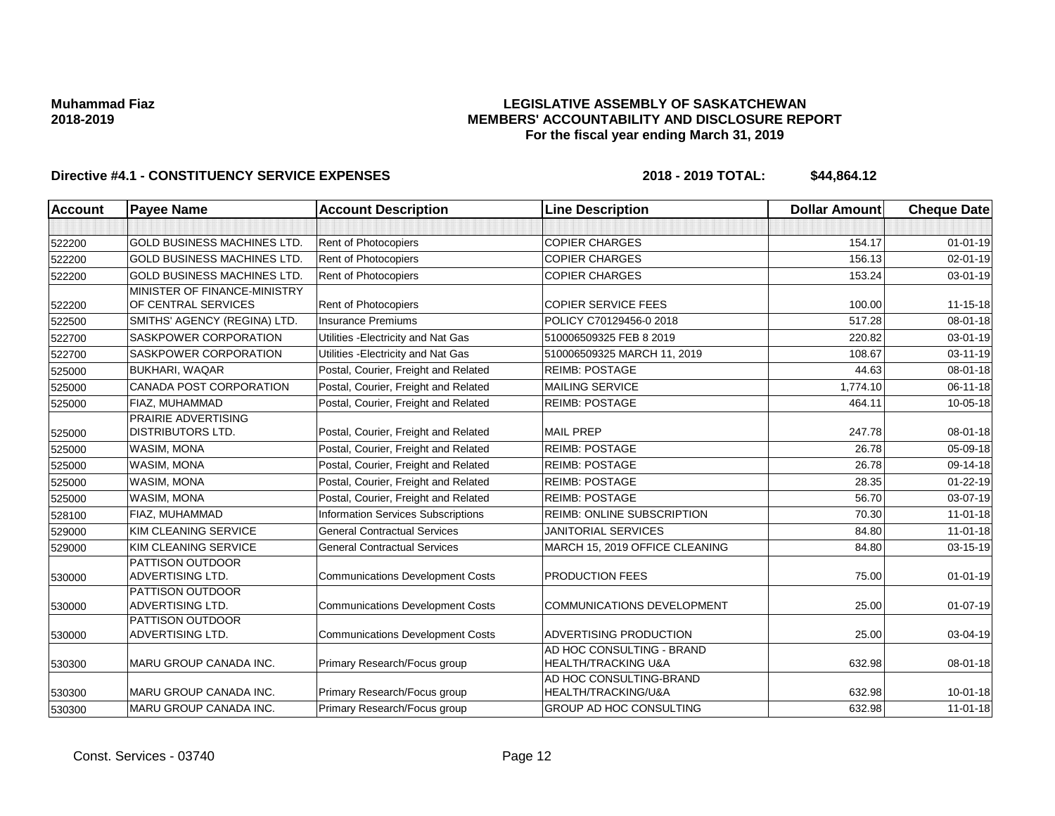### **LEGISLATIVE ASSEMBLY OF SASKATCHEWAN MEMBERS' ACCOUNTABILITY AND DISCLOSURE REPORT For the fiscal year ending March 31, 2019**

| <b>Account</b> | <b>Payee Name</b>                  | <b>Account Description</b>              | <b>Line Description</b>                        | <b>Dollar Amount</b> | <b>Cheque Date</b> |
|----------------|------------------------------------|-----------------------------------------|------------------------------------------------|----------------------|--------------------|
|                |                                    |                                         |                                                |                      |                    |
| 522200         | <b>GOLD BUSINESS MACHINES LTD.</b> | <b>Rent of Photocopiers</b>             | <b>COPIER CHARGES</b>                          | 154.17               | $01 - 01 - 19$     |
| 522200         | <b>GOLD BUSINESS MACHINES LTD</b>  | Rent of Photocopiers                    | <b>COPIER CHARGES</b>                          | 156.13               | $02 - 01 - 19$     |
| 522200         | <b>GOLD BUSINESS MACHINES LTD</b>  | Rent of Photocopiers                    | <b>COPIER CHARGES</b>                          | 153.24               | 03-01-19           |
|                | MINISTER OF FINANCE-MINISTRY       |                                         |                                                |                      |                    |
| 522200         | OF CENTRAL SERVICES                | <b>Rent of Photocopiers</b>             | <b>COPIER SERVICE FEES</b>                     | 100.00               | 11-15-18           |
| 522500         | SMITHS' AGENCY (REGINA) LTD.       | <b>Insurance Premiums</b>               | POLICY C70129456-0 2018                        | 517.28               | 08-01-18           |
| 522700         | <b>SASKPOWER CORPORATION</b>       | Utilities - Electricity and Nat Gas     | 510006509325 FEB 8 2019                        | 220.82               | $03 - 01 - 19$     |
| 522700         | SASKPOWER CORPORATION              | Utilities - Electricity and Nat Gas     | 510006509325 MARCH 11, 2019                    | 108.67               | 03-11-19           |
| 525000         | <b>BUKHARI, WAQAR</b>              | Postal, Courier, Freight and Related    | <b>REIMB: POSTAGE</b>                          | 44.63                | 08-01-18           |
| 525000         | CANADA POST CORPORATION            | Postal, Courier, Freight and Related    | <b>MAILING SERVICE</b>                         | 1.774.10             | $06 - 11 - 18$     |
| 525000         | FIAZ, MUHAMMAD                     | Postal, Courier, Freight and Related    | <b>REIMB: POSTAGE</b>                          | 464.11               | 10-05-18           |
|                | PRAIRIE ADVERTISING                |                                         |                                                |                      |                    |
| 525000         | <b>DISTRIBUTORS LTD.</b>           | Postal, Courier, Freight and Related    | <b>MAIL PREP</b>                               | 247.78               | 08-01-18           |
| 525000         | WASIM, MONA                        | Postal, Courier, Freight and Related    | <b>REIMB: POSTAGE</b>                          | 26.78                | 05-09-18           |
| 525000         | <b>WASIM, MONA</b>                 | Postal, Courier, Freight and Related    | <b>REIMB: POSTAGE</b>                          | 26.78                | 09-14-18           |
| 525000         | <b>WASIM, MONA</b>                 | Postal, Courier, Freight and Related    | <b>REIMB: POSTAGE</b>                          | 28.35                | $01 - 22 - 19$     |
| 525000         | <b>WASIM, MONA</b>                 | Postal, Courier, Freight and Related    | <b>REIMB: POSTAGE</b>                          | 56.70                | 03-07-19           |
| 528100         | FIAZ, MUHAMMAD                     | Information Services Subscriptions      | REIMB: ONLINE SUBSCRIPTION                     | 70.30                | $11-01-18$         |
| 529000         | KIM CLEANING SERVICE               | <b>General Contractual Services</b>     | <b>JANITORIAL SERVICES</b>                     | 84.80                | $11-01-18$         |
| 529000         | KIM CLEANING SERVICE               | <b>General Contractual Services</b>     | MARCH 15, 2019 OFFICE CLEANING                 | 84.80                | 03-15-19           |
|                | <b>PATTISON OUTDOOR</b>            |                                         |                                                |                      |                    |
| 530000         | <b>ADVERTISING LTD.</b>            | <b>Communications Development Costs</b> | PRODUCTION FEES                                | 75.00                | $01 - 01 - 19$     |
|                | <b>PATTISON OUTDOOR</b>            |                                         |                                                |                      |                    |
| 530000         | <b>ADVERTISING LTD.</b>            | <b>Communications Development Costs</b> | <b>COMMUNICATIONS DEVELOPMENT</b>              | 25.00                | $01-07-19$         |
|                | <b>PATTISON OUTDOOR</b>            |                                         |                                                |                      |                    |
| 530000         | <b>ADVERTISING LTD.</b>            | <b>Communications Development Costs</b> | <b>ADVERTISING PRODUCTION</b>                  | 25.00                | 03-04-19           |
|                |                                    |                                         | AD HOC CONSULTING - BRAND                      |                      |                    |
| 530300         | MARU GROUP CANADA INC.             | Primary Research/Focus group            | <b>HEALTH/TRACKING U&amp;A</b>                 | 632.98               | 08-01-18           |
|                | <b>MARU GROUP CANADA INC.</b>      |                                         | AD HOC CONSULTING-BRAND<br>HEALTH/TRACKING/U&A | 632.98               | $10 - 01 - 18$     |
| 530300         |                                    | Primary Research/Focus group            |                                                |                      |                    |
| 530300         | MARU GROUP CANADA INC.             | Primary Research/Focus group            | GROUP AD HOC CONSULTING                        | 632.98               | $11-01-18$         |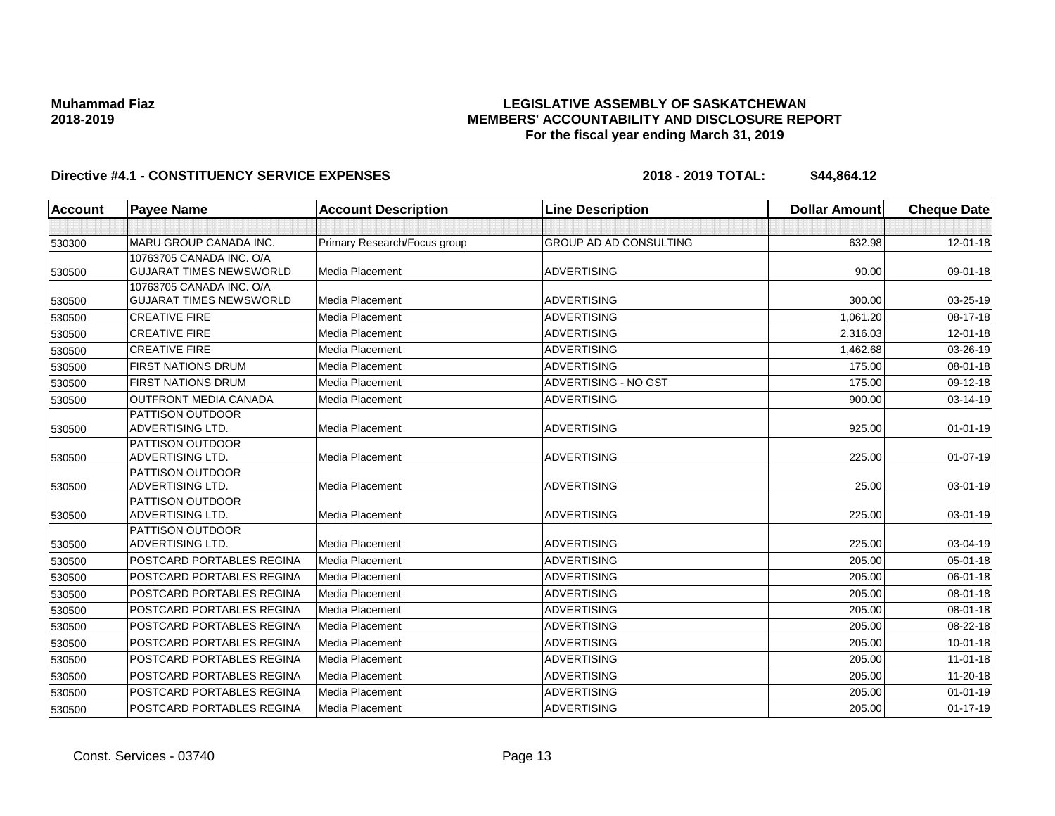## **LEGISLATIVE ASSEMBLY OF SASKATCHEWAN MEMBERS' ACCOUNTABILITY AND DISCLOSURE REPORT For the fiscal year ending March 31, 2019**

| Account | <b>Payee Name</b>                                  | <b>Account Description</b>   | <b>Line Description</b>       | <b>Dollar Amount</b> | <b>Cheque Date</b> |
|---------|----------------------------------------------------|------------------------------|-------------------------------|----------------------|--------------------|
|         |                                                    |                              |                               |                      |                    |
| 530300  | MARU GROUP CANADA INC.                             | Primary Research/Focus group | <b>GROUP AD AD CONSULTING</b> | 632.98               | 12-01-18           |
|         | 10763705 CANADA INC. O/A                           |                              |                               |                      |                    |
| 530500  | <b>GUJARAT TIMES NEWSWORLD</b>                     | Media Placement              | <b>ADVERTISING</b>            | 90.00                | 09-01-18           |
|         | 10763705 CANADA INC. O/A                           |                              |                               |                      |                    |
| 530500  | <b>GUJARAT TIMES NEWSWORLD</b>                     | Media Placement              | <b>ADVERTISING</b>            | 300.00               | 03-25-19           |
| 530500  | <b>CREATIVE FIRE</b>                               | Media Placement              | <b>ADVERTISING</b>            | 1,061.20             | 08-17-18           |
| 530500  | <b>CREATIVE FIRE</b>                               | Media Placement              | <b>ADVERTISING</b>            | 2,316.03             | 12-01-18           |
| 530500  | <b>CREATIVE FIRE</b>                               | Media Placement              | <b>ADVERTISING</b>            | 1,462.68             | 03-26-19           |
| 530500  | <b>FIRST NATIONS DRUM</b>                          | Media Placement              | <b>ADVERTISING</b>            | 175.00               | 08-01-18           |
| 530500  | <b>FIRST NATIONS DRUM</b>                          | Media Placement              | ADVERTISING - NO GST          | 175.00               | 09-12-18           |
| 530500  | <b>OUTFRONT MEDIA CANADA</b>                       | Media Placement              | <b>ADVERTISING</b>            | 900.00               | 03-14-19           |
|         | PATTISON OUTDOOR                                   |                              |                               |                      |                    |
| 530500  | <b>ADVERTISING LTD.</b>                            | <b>Media Placement</b>       | <b>ADVERTISING</b>            | 925.00               | $01 - 01 - 19$     |
|         | <b>PATTISON OUTDOOR</b>                            |                              |                               |                      |                    |
| 530500  | <b>ADVERTISING LTD.</b>                            | Media Placement              | <b>ADVERTISING</b>            | 225.00               | $01-07-19$         |
|         | PATTISON OUTDOOR                                   |                              |                               |                      |                    |
| 530500  | <b>ADVERTISING LTD.</b>                            | Media Placement              | <b>ADVERTISING</b>            | 25.00                | 03-01-19           |
|         | <b>PATTISON OUTDOOR</b><br><b>ADVERTISING LTD.</b> | Media Placement              | <b>ADVERTISING</b>            | 225.00               | 03-01-19           |
| 530500  | <b>PATTISON OUTDOOR</b>                            |                              |                               |                      |                    |
| 530500  | <b>ADVERTISING LTD.</b>                            | Media Placement              | <b>ADVERTISING</b>            | 225.00               | 03-04-19           |
| 530500  | POSTCARD PORTABLES REGINA                          | Media Placement              | <b>ADVERTISING</b>            | 205.00               | 05-01-18           |
| 530500  | <b>POSTCARD PORTABLES REGINA</b>                   | Media Placement              | <b>ADVERTISING</b>            | 205.00               | 06-01-18           |
| 530500  | POSTCARD PORTABLES REGINA                          | Media Placement              | <b>ADVERTISING</b>            | 205.00               | 08-01-18           |
|         | POSTCARD PORTABLES REGINA                          | Media Placement              | <b>ADVERTISING</b>            | 205.00               | 08-01-18           |
| 530500  | POSTCARD PORTABLES REGINA                          | Media Placement              | <b>ADVERTISING</b>            |                      |                    |
| 530500  |                                                    |                              |                               | 205.00               | 08-22-18           |
| 530500  | <b>POSTCARD PORTABLES REGINA</b>                   | Media Placement              | <b>ADVERTISING</b>            | 205.00               | $10 - 01 - 18$     |
| 530500  | POSTCARD PORTABLES REGINA                          | Media Placement              | <b>ADVERTISING</b>            | 205.00               | $11-01-18$         |
| 530500  | POSTCARD PORTABLES REGINA                          | Media Placement              | <b>ADVERTISING</b>            | 205.00               | 11-20-18           |
| 530500  | <b>POSTCARD PORTABLES REGINA</b>                   | Media Placement              | <b>ADVERTISING</b>            | 205.00               | $01 - 01 - 19$     |
| 530500  | POSTCARD PORTABLES REGINA                          | Media Placement              | <b>ADVERTISING</b>            | 205.00               | $01 - 17 - 19$     |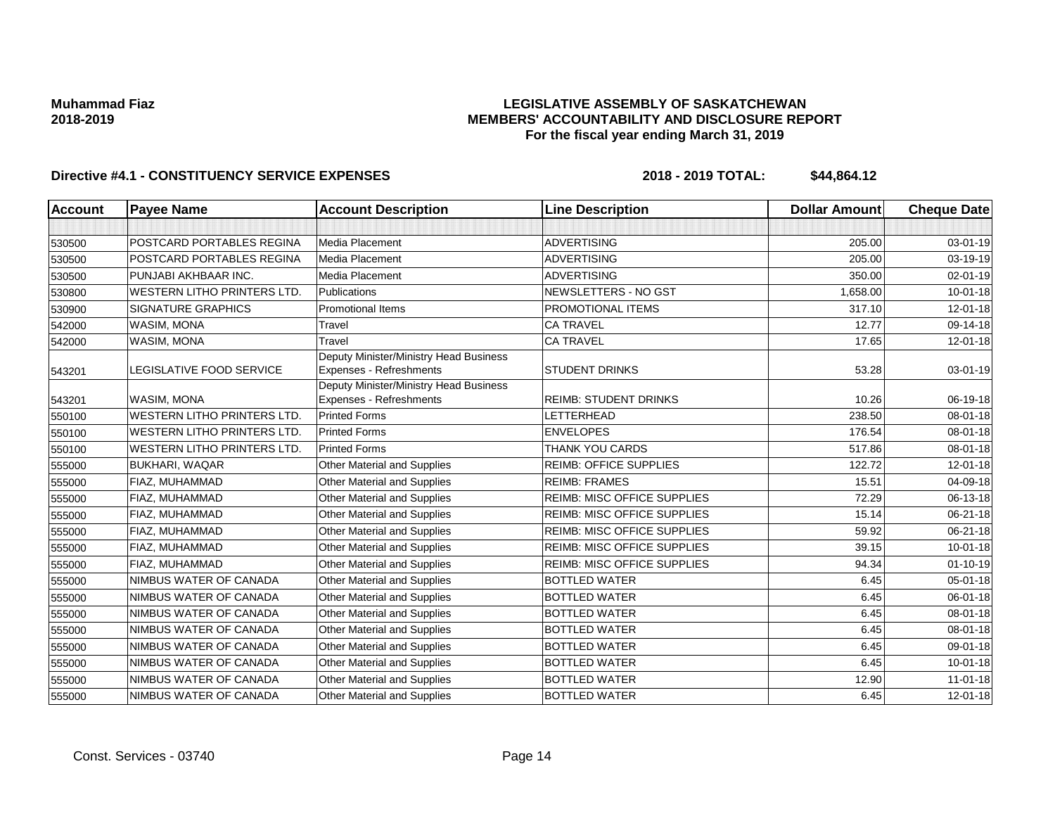### **LEGISLATIVE ASSEMBLY OF SASKATCHEWAN MEMBERS' ACCOUNTABILITY AND DISCLOSURE REPORT For the fiscal year ending March 31, 2019**

| <b>Account</b> | <b>Payee Name</b>                  | <b>Account Description</b>                                        | <b>Line Description</b>            | <b>Dollar Amount</b> | <b>Cheque Date</b> |
|----------------|------------------------------------|-------------------------------------------------------------------|------------------------------------|----------------------|--------------------|
|                |                                    |                                                                   |                                    |                      |                    |
| 530500         | POSTCARD PORTABLES REGINA          | Media Placement                                                   | <b>ADVERTISING</b>                 | 205.00               | 03-01-19           |
| 530500         | POSTCARD PORTABLES REGINA          | Media Placement                                                   | <b>ADVERTISING</b>                 | 205.00               | 03-19-19           |
| 530500         | PUNJABI AKHBAAR INC.               | Media Placement                                                   | <b>ADVERTISING</b>                 | 350.00               | 02-01-19           |
| 530800         | <b>WESTERN LITHO PRINTERS LTD.</b> | Publications                                                      | NEWSLETTERS - NO GST               | 1.658.00             | $10 - 01 - 18$     |
| 530900         | <b>SIGNATURE GRAPHICS</b>          | <b>Promotional Items</b>                                          | PROMOTIONAL ITEMS                  | 317.10               | $12 - 01 - 18$     |
| 542000         | <b>WASIM, MONA</b>                 | Travel                                                            | <b>CA TRAVEL</b>                   | 12.77                | 09-14-18           |
| 542000         | <b>WASIM, MONA</b>                 | Travel                                                            | <b>CA TRAVEL</b>                   | 17.65                | $12 - 01 - 18$     |
| 543201         | LEGISLATIVE FOOD SERVICE           | Deputy Minister/Ministry Head Business<br>Expenses - Refreshments | <b>STUDENT DRINKS</b>              | 53.28                | 03-01-19           |
| 543201         | WASIM, MONA                        | Deputy Minister/Ministry Head Business<br>Expenses - Refreshments | <b>REIMB: STUDENT DRINKS</b>       | 10.26                | 06-19-18           |
| 550100         | <b>WESTERN LITHO PRINTERS LTD.</b> | <b>Printed Forms</b>                                              | LETTERHEAD                         | 238.50               | 08-01-18           |
| 550100         | <b>WESTERN LITHO PRINTERS LTD.</b> | <b>Printed Forms</b>                                              | <b>ENVELOPES</b>                   | 176.54               | 08-01-18           |
| 550100         | <b>WESTERN LITHO PRINTERS LTD.</b> | <b>Printed Forms</b>                                              | THANK YOU CARDS                    | 517.86               | 08-01-18           |
| 555000         | <b>BUKHARI, WAQAR</b>              | Other Material and Supplies                                       | <b>REIMB: OFFICE SUPPLIES</b>      | 122.72               | 12-01-18           |
| 555000         | FIAZ, MUHAMMAD                     | Other Material and Supplies                                       | <b>REIMB: FRAMES</b>               | 15.51                | 04-09-18           |
| 555000         | FIAZ, MUHAMMAD                     | Other Material and Supplies                                       | <b>REIMB: MISC OFFICE SUPPLIES</b> | 72.29                | 06-13-18           |
| 555000         | FIAZ, MUHAMMAD                     | Other Material and Supplies                                       | <b>REIMB: MISC OFFICE SUPPLIES</b> | 15.14                | 06-21-18           |
| 555000         | FIAZ, MUHAMMAD                     | Other Material and Supplies                                       | <b>REIMB: MISC OFFICE SUPPLIES</b> | 59.92                | 06-21-18           |
| 555000         | FIAZ, MUHAMMAD                     | Other Material and Supplies                                       | REIMB: MISC OFFICE SUPPLIES        | 39.15                | $10 - 01 - 18$     |
| 555000         | FIAZ, MUHAMMAD                     | Other Material and Supplies                                       | <b>REIMB: MISC OFFICE SUPPLIES</b> | 94.34                | $01 - 10 - 19$     |
| 555000         | NIMBUS WATER OF CANADA             | Other Material and Supplies                                       | <b>BOTTLED WATER</b>               | 6.45                 | $05 - 01 - 18$     |
| 555000         | NIMBUS WATER OF CANADA             | Other Material and Supplies                                       | <b>BOTTLED WATER</b>               | 6.45                 | 06-01-18           |
| 555000         | NIMBUS WATER OF CANADA             | Other Material and Supplies                                       | <b>BOTTLED WATER</b>               | 6.45                 | 08-01-18           |
| 555000         | NIMBUS WATER OF CANADA             | Other Material and Supplies                                       | <b>BOTTLED WATER</b>               | 6.45                 | 08-01-18           |
| 555000         | NIMBUS WATER OF CANADA             | Other Material and Supplies                                       | <b>BOTTLED WATER</b>               | 6.45                 | 09-01-18           |
| 555000         | NIMBUS WATER OF CANADA             | Other Material and Supplies                                       | <b>BOTTLED WATER</b>               | 6.45                 | 10-01-18           |
| 555000         | NIMBUS WATER OF CANADA             | Other Material and Supplies                                       | <b>BOTTLED WATER</b>               | 12.90                | $11-01-18$         |
| 555000         | NIMBUS WATER OF CANADA             | <b>Other Material and Supplies</b>                                | <b>BOTTLED WATER</b>               | 6.45                 | $12 - 01 - 18$     |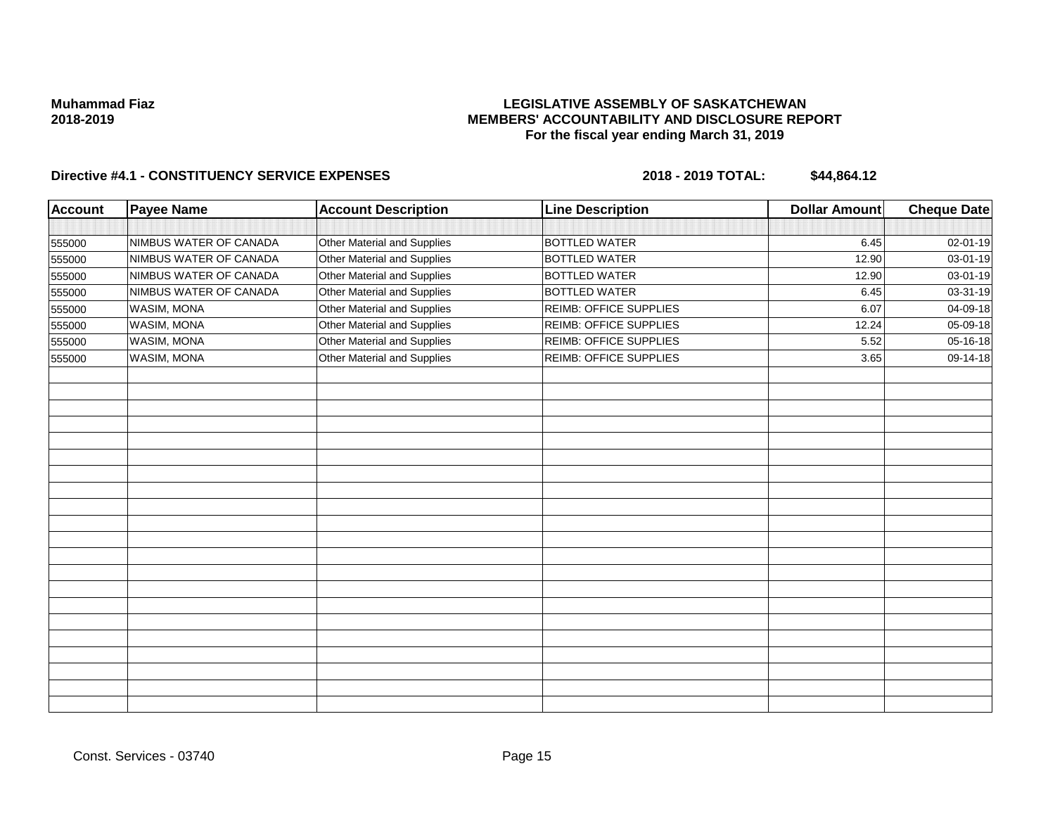### **LEGISLATIVE ASSEMBLY OF SASKATCHEWAN MEMBERS' ACCOUNTABILITY AND DISCLOSURE REPORT For the fiscal year ending March 31, 2019**

| <b>Account</b> | <b>Payee Name</b>      | <b>Account Description</b>  | <b>Line Description</b>       | <b>Dollar Amount</b> | Cheque Date |
|----------------|------------------------|-----------------------------|-------------------------------|----------------------|-------------|
|                |                        |                             |                               |                      |             |
| 555000         | NIMBUS WATER OF CANADA | Other Material and Supplies | <b>BOTTLED WATER</b>          | 6.45                 | 02-01-19    |
| 555000         | NIMBUS WATER OF CANADA | Other Material and Supplies | <b>BOTTLED WATER</b>          | 12.90                | 03-01-19    |
| 555000         | NIMBUS WATER OF CANADA | Other Material and Supplies | <b>BOTTLED WATER</b>          | 12.90                | 03-01-19    |
| 555000         | NIMBUS WATER OF CANADA | Other Material and Supplies | <b>BOTTLED WATER</b>          | 6.45                 | 03-31-19    |
| 555000         | WASIM, MONA            | Other Material and Supplies | <b>REIMB: OFFICE SUPPLIES</b> | 6.07                 | 04-09-18    |
| 555000         | WASIM, MONA            | Other Material and Supplies | REIMB: OFFICE SUPPLIES        | 12.24                | 05-09-18    |
| 555000         | WASIM, MONA            | Other Material and Supplies | REIMB: OFFICE SUPPLIES        | 5.52                 | 05-16-18    |
| 555000         | WASIM, MONA            | Other Material and Supplies | <b>REIMB: OFFICE SUPPLIES</b> | 3.65                 | 09-14-18    |
|                |                        |                             |                               |                      |             |
|                |                        |                             |                               |                      |             |
|                |                        |                             |                               |                      |             |
|                |                        |                             |                               |                      |             |
|                |                        |                             |                               |                      |             |
|                |                        |                             |                               |                      |             |
|                |                        |                             |                               |                      |             |
|                |                        |                             |                               |                      |             |
|                |                        |                             |                               |                      |             |
|                |                        |                             |                               |                      |             |
|                |                        |                             |                               |                      |             |
|                |                        |                             |                               |                      |             |
|                |                        |                             |                               |                      |             |
|                |                        |                             |                               |                      |             |
|                |                        |                             |                               |                      |             |
|                |                        |                             |                               |                      |             |
|                |                        |                             |                               |                      |             |
|                |                        |                             |                               |                      |             |
|                |                        |                             |                               |                      |             |
|                |                        |                             |                               |                      |             |
|                |                        |                             |                               |                      |             |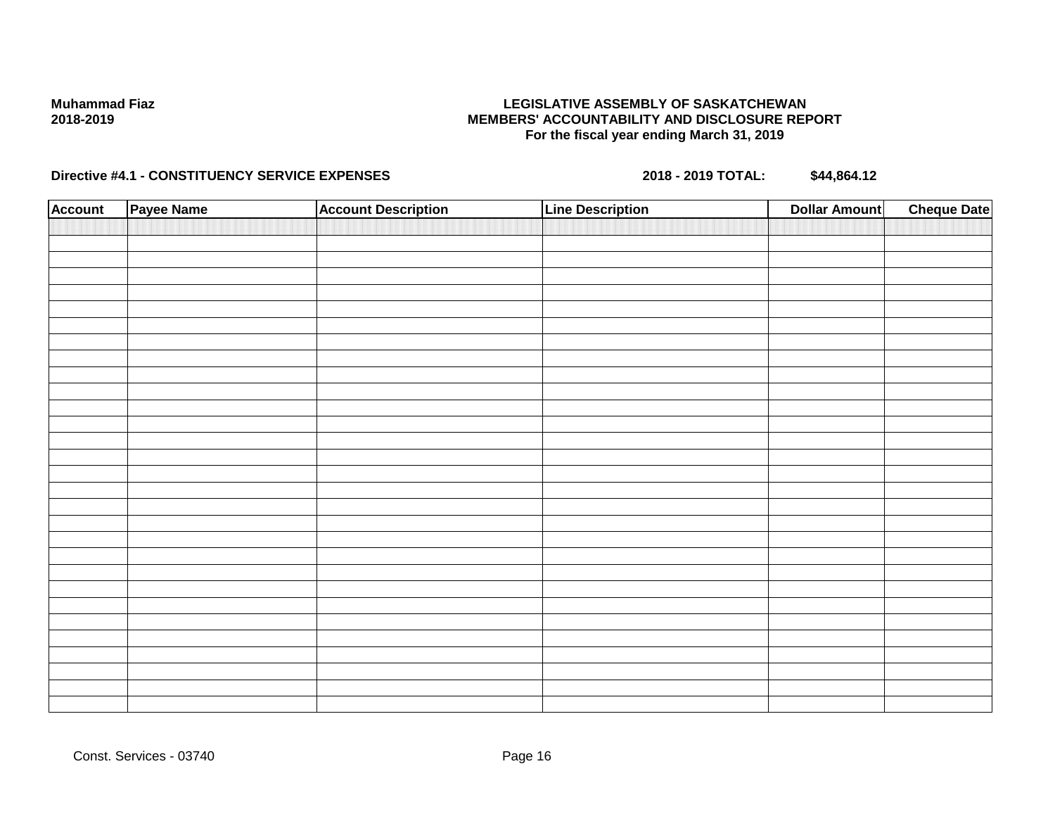### **LEGISLATIVE ASSEMBLY OF SASKATCHEWAN MEMBERS' ACCOUNTABILITY AND DISCLOSURE REPORT For the fiscal year ending March 31, 2019**

| <b>Account</b> | Payee Name | <b>Account Description</b> | <b>Line Description</b> | <b>Dollar Amount</b> | <b>Cheque Date</b> |
|----------------|------------|----------------------------|-------------------------|----------------------|--------------------|
|                |            |                            |                         |                      |                    |
|                |            |                            |                         |                      |                    |
|                |            |                            |                         |                      |                    |
|                |            |                            |                         |                      |                    |
|                |            |                            |                         |                      |                    |
|                |            |                            |                         |                      |                    |
|                |            |                            |                         |                      |                    |
|                |            |                            |                         |                      |                    |
|                |            |                            |                         |                      |                    |
|                |            |                            |                         |                      |                    |
|                |            |                            |                         |                      |                    |
|                |            |                            |                         |                      |                    |
|                |            |                            |                         |                      |                    |
|                |            |                            |                         |                      |                    |
|                |            |                            |                         |                      |                    |
|                |            |                            |                         |                      |                    |
|                |            |                            |                         |                      |                    |
|                |            |                            |                         |                      |                    |
|                |            |                            |                         |                      |                    |
|                |            |                            |                         |                      |                    |
|                |            |                            |                         |                      |                    |
|                |            |                            |                         |                      |                    |
|                |            |                            |                         |                      |                    |
|                |            |                            |                         |                      |                    |
|                |            |                            |                         |                      |                    |
|                |            |                            |                         |                      |                    |
|                |            |                            |                         |                      |                    |
|                |            |                            |                         |                      |                    |
|                |            |                            |                         |                      |                    |
|                |            |                            |                         |                      |                    |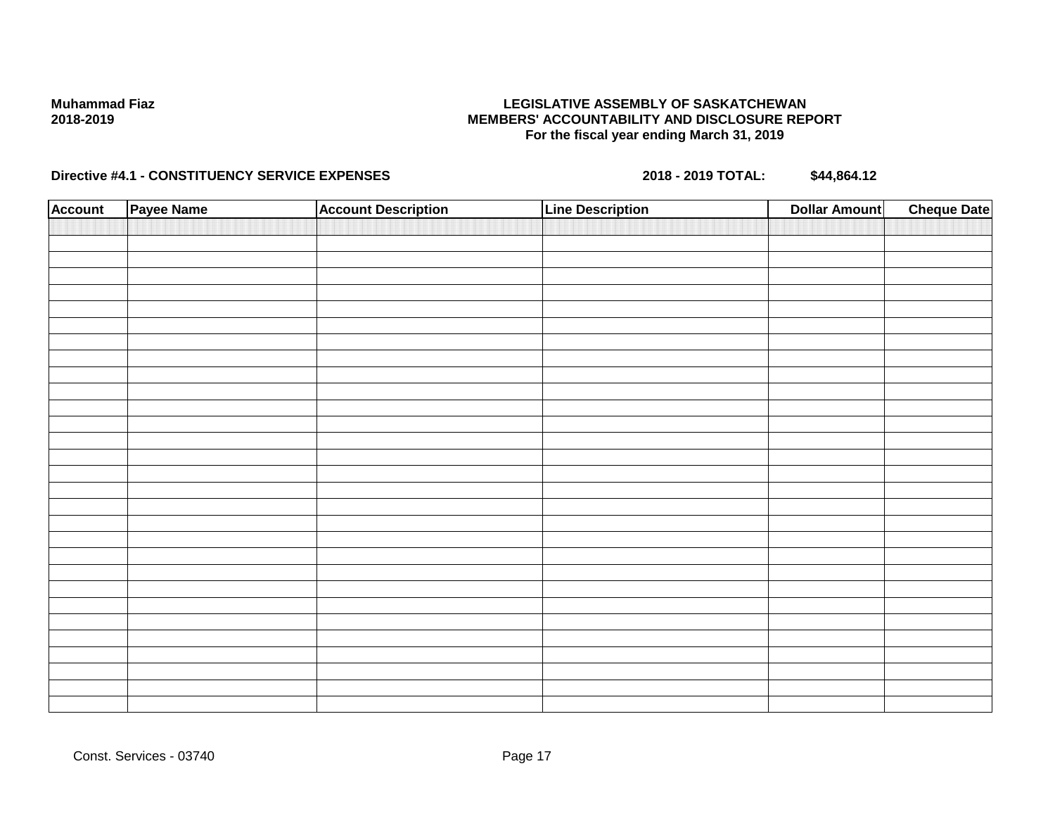### **LEGISLATIVE ASSEMBLY OF SASKATCHEWAN MEMBERS' ACCOUNTABILITY AND DISCLOSURE REPORT For the fiscal year ending March 31, 2019**

| <b>Account</b> | Payee Name | <b>Account Description</b> | <b>Line Description</b> | <b>Dollar Amount</b> | <b>Cheque Date</b> |
|----------------|------------|----------------------------|-------------------------|----------------------|--------------------|
|                |            |                            |                         |                      |                    |
|                |            |                            |                         |                      |                    |
|                |            |                            |                         |                      |                    |
|                |            |                            |                         |                      |                    |
|                |            |                            |                         |                      |                    |
|                |            |                            |                         |                      |                    |
|                |            |                            |                         |                      |                    |
|                |            |                            |                         |                      |                    |
|                |            |                            |                         |                      |                    |
|                |            |                            |                         |                      |                    |
|                |            |                            |                         |                      |                    |
|                |            |                            |                         |                      |                    |
|                |            |                            |                         |                      |                    |
|                |            |                            |                         |                      |                    |
|                |            |                            |                         |                      |                    |
|                |            |                            |                         |                      |                    |
|                |            |                            |                         |                      |                    |
|                |            |                            |                         |                      |                    |
|                |            |                            |                         |                      |                    |
|                |            |                            |                         |                      |                    |
|                |            |                            |                         |                      |                    |
|                |            |                            |                         |                      |                    |
|                |            |                            |                         |                      |                    |
|                |            |                            |                         |                      |                    |
|                |            |                            |                         |                      |                    |
|                |            |                            |                         |                      |                    |
|                |            |                            |                         |                      |                    |
|                |            |                            |                         |                      |                    |
|                |            |                            |                         |                      |                    |
|                |            |                            |                         |                      |                    |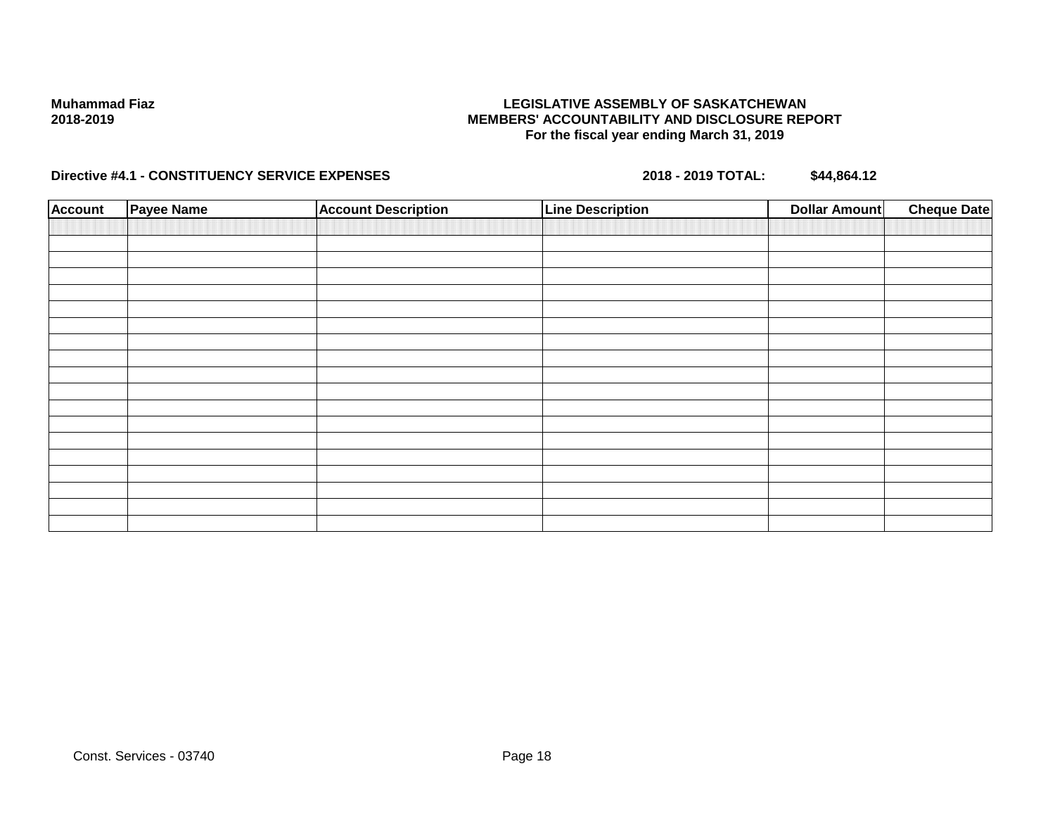### **LEGISLATIVE ASSEMBLY OF SASKATCHEWAN MEMBERS' ACCOUNTABILITY AND DISCLOSURE REPORT For the fiscal year ending March 31, 2019**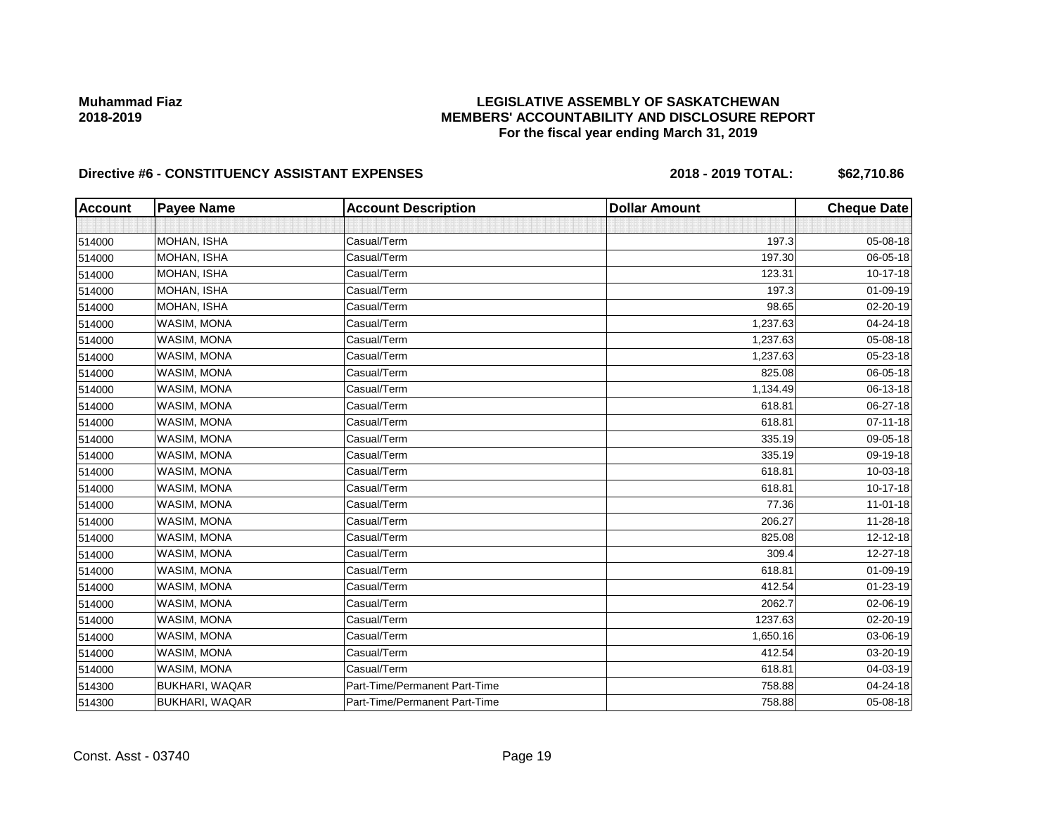# **LEGISLATIVE ASSEMBLY OF SASKATCHEWAN MEMBERS' ACCOUNTABILITY AND DISCLOSURE REPORT For the fiscal year ending March 31, 2019**

| <b>Account</b> | <b>Payee Name</b>     | <b>Account Description</b>    | <b>Dollar Amount</b> | <b>Cheque Date</b> |
|----------------|-----------------------|-------------------------------|----------------------|--------------------|
|                |                       |                               |                      |                    |
| 514000         | MOHAN, ISHA           | Casual/Term                   | 197.3                | 05-08-18           |
| 514000         | MOHAN, ISHA           | Casual/Term                   | 197.30               | 06-05-18           |
| 514000         | MOHAN, ISHA           | Casual/Term                   | 123.31               | 10-17-18           |
| 514000         | MOHAN, ISHA           | Casual/Term                   | 197.3                | 01-09-19           |
| 514000         | MOHAN, ISHA           | Casual/Term                   | 98.65                | 02-20-19           |
| 514000         | WASIM, MONA           | Casual/Term                   | 1,237.63             | 04-24-18           |
| 514000         | WASIM, MONA           | Casual/Term                   | 1,237.63             | 05-08-18           |
| 514000         | WASIM, MONA           | Casual/Term                   | 1,237.63             | 05-23-18           |
| 514000         | WASIM, MONA           | Casual/Term                   | 825.08               | 06-05-18           |
| 514000         | WASIM, MONA           | Casual/Term                   | 1,134.49             | 06-13-18           |
| 514000         | WASIM, MONA           | Casual/Term                   | 618.81               | 06-27-18           |
| 514000         | WASIM, MONA           | Casual/Term                   | 618.81               | $07 - 11 - 18$     |
| 514000         | WASIM, MONA           | Casual/Term                   | 335.19               | 09-05-18           |
| 514000         | WASIM, MONA           | Casual/Term                   | 335.19               | 09-19-18           |
| 514000         | WASIM, MONA           | Casual/Term                   | 618.81               | 10-03-18           |
| 514000         | WASIM, MONA           | Casual/Term                   | 618.81               | 10-17-18           |
| 514000         | WASIM, MONA           | Casual/Term                   | 77.36                | $11 - 01 - 18$     |
| 514000         | WASIM, MONA           | Casual/Term                   | 206.27               | 11-28-18           |
| 514000         | WASIM, MONA           | Casual/Term                   | 825.08               | 12-12-18           |
| 514000         | WASIM, MONA           | Casual/Term                   | 309.4                | 12-27-18           |
| 514000         | WASIM, MONA           | Casual/Term                   | 618.81               | 01-09-19           |
| 514000         | WASIM, MONA           | Casual/Term                   | 412.54               | 01-23-19           |
| 514000         | WASIM, MONA           | Casual/Term                   | 2062.7               | 02-06-19           |
| 514000         | WASIM, MONA           | Casual/Term                   | 1237.63              | 02-20-19           |
| 514000         | WASIM, MONA           | Casual/Term                   | 1,650.16             | 03-06-19           |
| 514000         | WASIM, MONA           | Casual/Term                   | 412.54               | 03-20-19           |
| 514000         | WASIM, MONA           | Casual/Term                   | 618.81               | 04-03-19           |
| 514300         | BUKHARI, WAQAR        | Part-Time/Permanent Part-Time | 758.88               | 04-24-18           |
| 514300         | <b>BUKHARI, WAQAR</b> | Part-Time/Permanent Part-Time | 758.88               | 05-08-18           |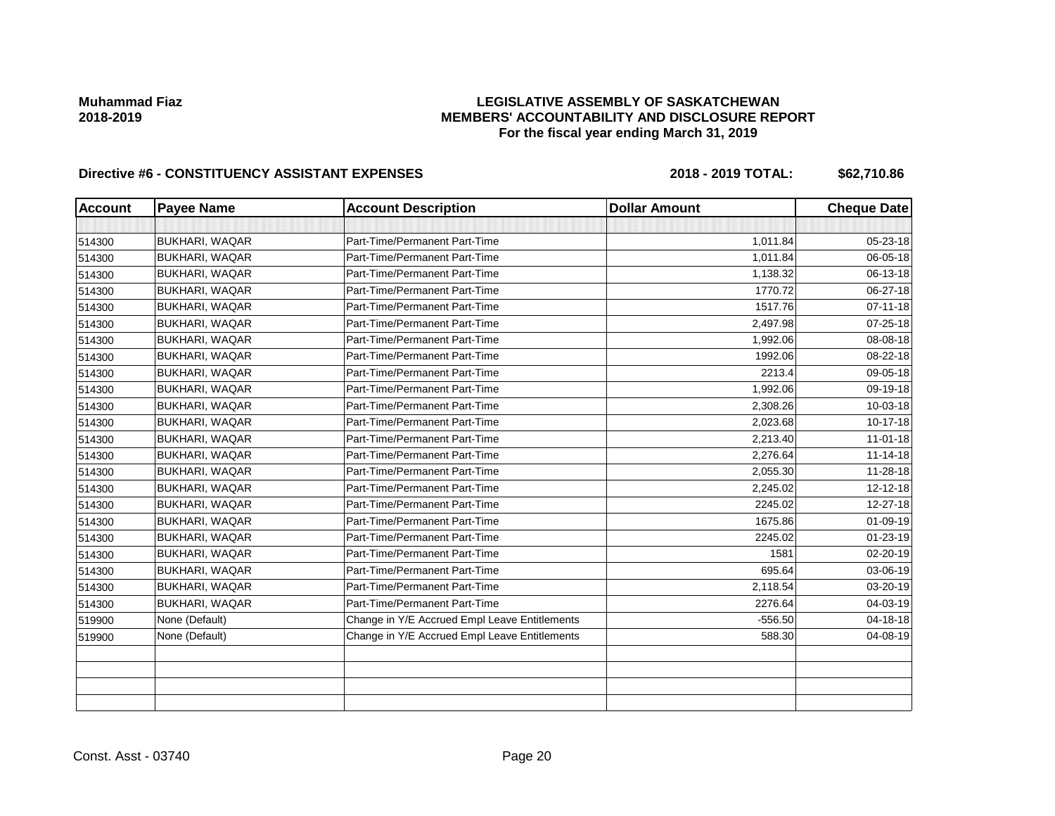# **LEGISLATIVE ASSEMBLY OF SASKATCHEWAN MEMBERS' ACCOUNTABILITY AND DISCLOSURE REPORT For the fiscal year ending March 31, 2019**

| <b>Account</b> | <b>Payee Name</b>     | <b>Account Description</b>                    | <b>Dollar Amount</b> | <b>Cheque Date</b> |
|----------------|-----------------------|-----------------------------------------------|----------------------|--------------------|
|                |                       |                                               |                      |                    |
| 514300         | <b>BUKHARI, WAQAR</b> | Part-Time/Permanent Part-Time                 | 1,011.84             | 05-23-18           |
| 514300         | <b>BUKHARI, WAQAR</b> | Part-Time/Permanent Part-Time                 | 1,011.84             | 06-05-18           |
| 514300         | <b>BUKHARI, WAQAR</b> | Part-Time/Permanent Part-Time                 | 1,138.32             | 06-13-18           |
| 514300         | <b>BUKHARI, WAQAR</b> | Part-Time/Permanent Part-Time                 | 1770.72              | 06-27-18           |
| 514300         | <b>BUKHARI, WAQAR</b> | Part-Time/Permanent Part-Time                 | 1517.76              | $07 - 11 - 18$     |
| 514300         | <b>BUKHARI, WAQAR</b> | Part-Time/Permanent Part-Time                 | 2,497.98             | 07-25-18           |
| 514300         | <b>BUKHARI, WAQAR</b> | Part-Time/Permanent Part-Time                 | 1,992.06             | 08-08-18           |
| 514300         | <b>BUKHARI, WAQAR</b> | Part-Time/Permanent Part-Time                 | 1992.06              | 08-22-18           |
| 514300         | <b>BUKHARI, WAQAR</b> | Part-Time/Permanent Part-Time                 | 2213.4               | 09-05-18           |
| 514300         | <b>BUKHARI, WAQAR</b> | Part-Time/Permanent Part-Time                 | 1,992.06             | 09-19-18           |
| 514300         | <b>BUKHARI, WAQAR</b> | Part-Time/Permanent Part-Time                 | 2,308.26             | 10-03-18           |
| 514300         | <b>BUKHARI, WAQAR</b> | Part-Time/Permanent Part-Time                 | 2,023.68             | 10-17-18           |
| 514300         | <b>BUKHARI, WAQAR</b> | Part-Time/Permanent Part-Time                 | 2,213.40             | $11 - 01 - 18$     |
| 514300         | <b>BUKHARI, WAQAR</b> | Part-Time/Permanent Part-Time                 | 2,276.64             | $11 - 14 - 18$     |
| 514300         | <b>BUKHARI, WAQAR</b> | Part-Time/Permanent Part-Time                 | 2,055.30             | 11-28-18           |
| 514300         | <b>BUKHARI, WAQAR</b> | Part-Time/Permanent Part-Time                 | 2,245.02             | 12-12-18           |
| 514300         | <b>BUKHARI, WAQAR</b> | Part-Time/Permanent Part-Time                 | 2245.02              | 12-27-18           |
| 514300         | <b>BUKHARI, WAQAR</b> | Part-Time/Permanent Part-Time                 | 1675.86              | 01-09-19           |
| 514300         | <b>BUKHARI, WAQAR</b> | Part-Time/Permanent Part-Time                 | 2245.02              | 01-23-19           |
| 514300         | <b>BUKHARI, WAQAR</b> | Part-Time/Permanent Part-Time                 | 1581                 | 02-20-19           |
| 514300         | <b>BUKHARI, WAQAR</b> | Part-Time/Permanent Part-Time                 | 695.64               | 03-06-19           |
| 514300         | <b>BUKHARI, WAQAR</b> | Part-Time/Permanent Part-Time                 | 2,118.54             | 03-20-19           |
| 514300         | <b>BUKHARI, WAQAR</b> | Part-Time/Permanent Part-Time                 | 2276.64              | 04-03-19           |
| 519900         | None (Default)        | Change in Y/E Accrued Empl Leave Entitlements | $-556.50$            | 04-18-18           |
| 519900         | None (Default)        | Change in Y/E Accrued Empl Leave Entitlements | 588.30               | 04-08-19           |
|                |                       |                                               |                      |                    |
|                |                       |                                               |                      |                    |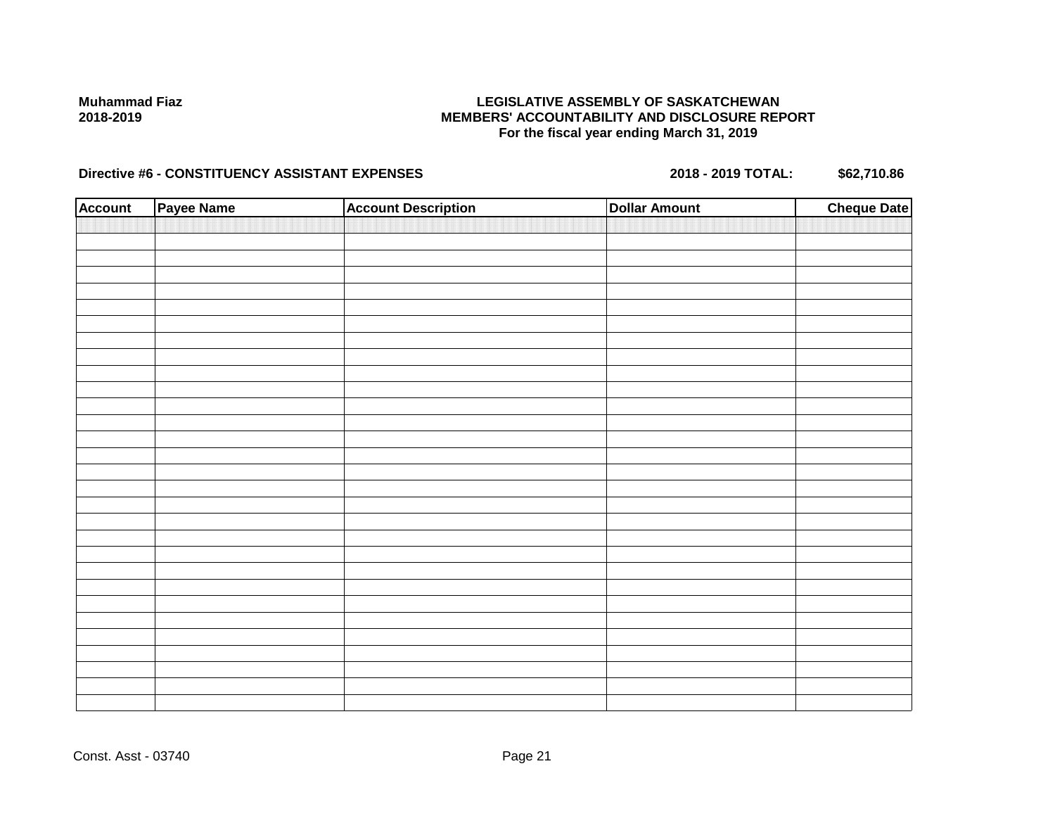## **LEGISLATIVE ASSEMBLY OF SASKATCHEWAN MEMBERS' ACCOUNTABILITY AND DISCLOSURE REPORT For the fiscal year ending March 31, 2019**

| <b>Account</b> | Payee Name | <b>Account Description</b> | <b>Dollar Amount</b> | <b>Cheque Date</b> |
|----------------|------------|----------------------------|----------------------|--------------------|
|                |            |                            |                      |                    |
|                |            |                            |                      |                    |
|                |            |                            |                      |                    |
|                |            |                            |                      |                    |
|                |            |                            |                      |                    |
|                |            |                            |                      |                    |
|                |            |                            |                      |                    |
|                |            |                            |                      |                    |
|                |            |                            |                      |                    |
|                |            |                            |                      |                    |
|                |            |                            |                      |                    |
|                |            |                            |                      |                    |
|                |            |                            |                      |                    |
|                |            |                            |                      |                    |
|                |            |                            |                      |                    |
|                |            |                            |                      |                    |
|                |            |                            |                      |                    |
|                |            |                            |                      |                    |
|                |            |                            |                      |                    |
|                |            |                            |                      |                    |
|                |            |                            |                      |                    |
|                |            |                            |                      |                    |
|                |            |                            |                      |                    |
|                |            |                            |                      |                    |
|                |            |                            |                      |                    |
|                |            |                            |                      |                    |
|                |            |                            |                      |                    |
|                |            |                            |                      |                    |
|                |            |                            |                      |                    |